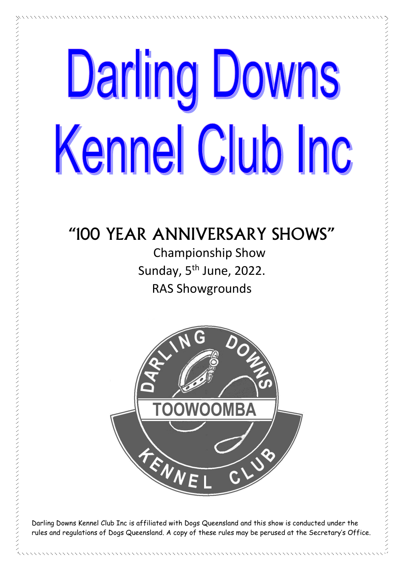# **Darling Downs** Kennel Club Inc

# "100 YEAR ANNIVERSARY SHOWS"

**Championship Show** Sunday, 5<sup>th</sup> June, 2022. **RAS Showgrounds** 



Darling Downs Kennel Club Inc is affiliated with Dogs Queensland and this show is conducted under the rules and regulations of Dogs Queensland. A copy of these rules may be perused at the Secretary's Office.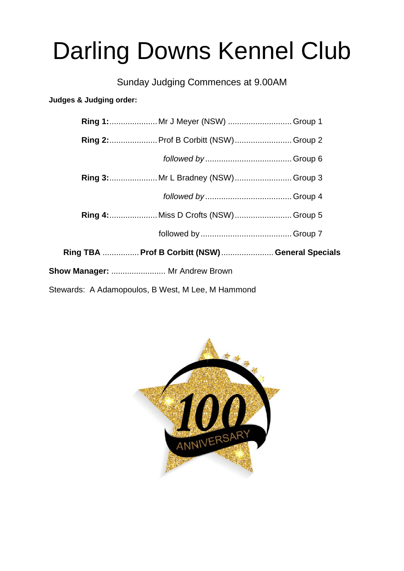# **Darling Downs Kennel Club**

Sunday Judging Commences at 9.00AM

Judges & Judging order:

|                                                   |  | Ring 1: Mr J Meyer (NSW)  Group 1      |  |  |  |  |
|---------------------------------------------------|--|----------------------------------------|--|--|--|--|
|                                                   |  | Ring 2:  Prof B Corbitt (NSW)  Group 2 |  |  |  |  |
|                                                   |  |                                        |  |  |  |  |
|                                                   |  | Ring 3:  Mr L Bradney (NSW)  Group 3   |  |  |  |  |
|                                                   |  |                                        |  |  |  |  |
|                                                   |  | Ring 4:  Miss D Crofts (NSW)  Group 5  |  |  |  |  |
|                                                   |  |                                        |  |  |  |  |
| Ring TBA  Prof B Corbitt (NSW)  General Specials  |  |                                        |  |  |  |  |
| Show Manager:  Mr Andrew Brown                    |  |                                        |  |  |  |  |
| Stewards: A Adamopoulos, B West, M Lee, M Hammond |  |                                        |  |  |  |  |

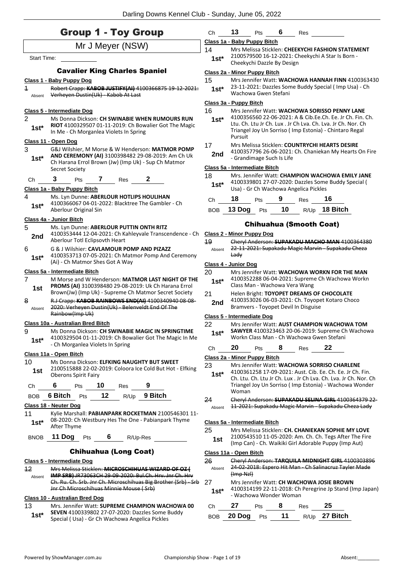| <b>Group 1 - Toy Group</b> |                                                                                                                                                                                                                                                                                                                                    |  |
|----------------------------|------------------------------------------------------------------------------------------------------------------------------------------------------------------------------------------------------------------------------------------------------------------------------------------------------------------------------------|--|
|                            | $\mathbf{A}$ $\mathbf{A}$ $\mathbf{A}$ $\mathbf{A}$ $\mathbf{A}$ $\mathbf{A}$ $\mathbf{A}$ $\mathbf{A}$ $\mathbf{A}$ $\mathbf{A}$ $\mathbf{A}$ $\mathbf{A}$ $\mathbf{A}$ $\mathbf{A}$ $\mathbf{A}$ $\mathbf{A}$ $\mathbf{A}$ $\mathbf{A}$ $\mathbf{A}$ $\mathbf{A}$ $\mathbf{A}$ $\mathbf{A}$ $\mathbf{A}$ $\mathbf{A}$ $\mathbf{$ |  |

Mr J Meyer (NSW) Start Time: Cavalier King Charles Spaniel **Class 1 - Baby Puppy Dog** 1 Robert Crapp: **KABOB JUSTIFY(AI)** 4100366875 19-12-2021: Absent Verheyen Dustin(Uk) Kabob At Last **Class 5 - Intermediate Dog** 2 Ms Donna Dickson: **CH SWINABIE WHEN RUMOURS RUN RIOT** 4100329507 01-11-2019: Ch Bowalier Got The Magic In Me - Ch Morganlea Violets In Spring **1st\* Class 11 - Open Dog** 3 G&J Wilshier, M Morse & W Henderson: **MATMOR POMP AND CEREMONY (AI)** 3100398482 29-08-2019: Am Ch Uk Ch Harana Errol Brown (Jw) (Imp Uk) - Sup Ch Matmor Secret Society **1st\*** Ch **3** Pts **7** Res **2 Class 1a - Baby Puppy Bitch** 4 Ms. Lyn Dunne: **ABERLOUR HOTLIPS HOULIHAN** 4100366067 04-01-2022: Blacktree The Gambler - Ch Aberlour Original Sin **1st\* Class 4a - Junior Bitch** 5 Ms. Lyn Dunne: **ABERLOUR PUTTIN ONTH RITZ** 4100353444 12-04-2021: Ch Kahleyvale Transcendence - Ch 2nd <sup>4100353444</sup> 12-04-2021; CITN 6 G & J Wilshier: **CAVLAMOUR POMP AND PIZAZZ** 4100353713 07-05-2021: Ch Matmor Pomp And Ceremony (Ai) - Ch Matmor Shes Got A Way **1st\* Class 5a - Intermediate Bitch** 7 M Morse and W Henderson: **MATMOR LAST NIGHT OF THE PROMS (AI)** 3100398480 29-08-2019: Uk Ch Harana Errol Brown(Jw) (Imp Uk) - Supreme Ch Matmor Secret Society **1st** 8 R.J Crapp: **KABOB RAINBOWS END(AI)** 4100340940 08-08- 2020: Verheyen Dustin(Uk) - Belenveldt End Of The Rainbow(Imp Uk) Absent **Class 10a - Australian Bred Bitch** 9 Ms Donna Dickson: **CH SWINABIE MAGIC IN SPRINGTIME** 4100329504 01-11-2019: Ch Bowalier Got The Magic In Me - Ch Morganlea Violets In Spring **1st\* Class 11a - Open Bitch** 10 Ms Donna Dickson: **ELFKING NAUGHTY BUT SWEET** 2100515888 22-02-2019: Coloora Ice Cold But Hot - Elfking **1st 1988 1988 1988 1988 1989 1989 1999 1999 1999 1999 1999 1999 1999 1999 1999 1999 1999 1999 1999 1999 1999 1999 1999 1999 1999 1999 1999 1999 1999 1999 1999** Ch **6** Pts **10** Res **9** BOB **6 Bitch** Pts **12** R/Up **9 Bitch Class 18 - Neuter Dog** 11 Kylie Marshall: **PABIANPARK ROCKETMAN** 2100546301 11- 08-2020: Ch Westbury Hes The One - Pabianpark Thyme **1st**\* U<sub>8</sub>-2020: Ch<br>After Thyme BNOB **11 Dog** Pts **6** R/Up-Res Chihuahua (Long Coat) **Class 5 - Intermediate Dog** 12 Mrs Melissa Sticklen: **MICROSCHIHUAS WIZARD OF OZ ( IMP SRB)** JR73063CH 29-09-2020: Bul.Ch. Hrv. Jnr Ch. Hrv Ch. Ru. Ch. Srb. Jnr Ch. Microschihuas Big Brother (Srb) - Srb Jnr Ch Microschihuas Minnie Mouse ( Srb) Absent

#### **Class 10 - Australian Bred Dog**

13 Mrs. Jennifer Watt: **SUPREME CHAMPION WACHOWA 00 SEVEN** 4100339802 27-07-2020: Dazzles Some Buddy Special ( Usa) - Gr Ch Wachowa Angelica Pickles **1st\***

| Ch                     | 13                                                                                                                                   | Pts                          |  | Res |                                                                                                            |  |  |  |  |  |
|------------------------|--------------------------------------------------------------------------------------------------------------------------------------|------------------------------|--|-----|------------------------------------------------------------------------------------------------------------|--|--|--|--|--|
|                        | Class 1a - Baby Puppy Bitch                                                                                                          |                              |  |     |                                                                                                            |  |  |  |  |  |
| 14<br>$1st*$           | Mrs Melissa Sticklen: CHEEKYCHI FASHION STATEMENT<br>2100579500 16-12-2021: Cheekychi A Star Is Born -<br>Cheekychi Dazzle By Design |                              |  |     |                                                                                                            |  |  |  |  |  |
|                        |                                                                                                                                      | Class 2a - Minor Puppy Bitch |  |     |                                                                                                            |  |  |  |  |  |
| 15<br>$1st*$           |                                                                                                                                      | Wachowa Gwen Stefani         |  |     | Mrs Jennifer Watt: WACHOWA HANNAH FINN 4100363430<br>23-11-2021: Dazzles Some Buddy Special (Imp Usa) - Ch |  |  |  |  |  |
| Class 3a - Puppy Bitch |                                                                                                                                      |                              |  |     |                                                                                                            |  |  |  |  |  |
| 16<br>$1$ ct*          |                                                                                                                                      |                              |  |     | Mrs Jennifer Watt: WACHOWA SORISSO PENNY LANE<br>4100356560 22-06-2021: A & Cib.Ee.Ch. Ee. Jr Ch. Fin. Ch. |  |  |  |  |  |

#### Ltu. Ch. Ltu Jr Ch. Lux . Jr Ch Lva. Ch. Lva. Jr Ch. Nor. Ch Triangel Joy Un Sorriso ( Imp Estonia) - Chintaro Regal Pursuit **1st\***

#### 17 Mrs Melissa Sticklen: **COUNTRYCHI HEARTS DESIRE**

4100357796 26-06-2021: Ch. Chaniekan My Hearts On Fire 2nd <sup>4100357796</sup><sub>20</sub>-06-2021:<br>Grandimage Such Is Life

### **Class 5a - Intermediate Bitch**

| 18<br>$1st*$ | Mrs. Jennifer Watt: CHAMPION WACHOWA EMILY JANE<br>4100339801 27-07-2020: Dazzles Some Buddy Special (<br>Usa) - Gr Ch Wachowa Angelica Pickles |            |    |      |          |  |  |
|--------------|-------------------------------------------------------------------------------------------------------------------------------------------------|------------|----|------|----------|--|--|
| Сh           | 18                                                                                                                                              | <b>Pts</b> | 9  | Res  | 16       |  |  |
| <b>BOB</b>   | 13 Dog                                                                                                                                          | Pts        | 10 | R/Up | 18 Bitch |  |  |

### Chihuahua (Smooth Coat)

| <b>Class 2 - Minor Puppy Dog</b> |                        |                                                    |   |                                      |                                                                  |                                                          |  |  |
|----------------------------------|------------------------|----------------------------------------------------|---|--------------------------------------|------------------------------------------------------------------|----------------------------------------------------------|--|--|
| 19                               |                        |                                                    |   |                                      | Cheryl Anderson: SUPAKADU MACHO MAN 4100364380                   |                                                          |  |  |
| Absent                           |                        | 22-11-2021: Supakadu Magic Marvin - Supakadu Cheza |   |                                      |                                                                  |                                                          |  |  |
|                                  | Ladv                   |                                                    |   |                                      |                                                                  |                                                          |  |  |
| Class 4 - Junior Dog             |                        |                                                    |   |                                      |                                                                  |                                                          |  |  |
| 20                               |                        |                                                    |   |                                      | Mrs Jennifer Watt: WACHOWA WORKN FOR THE MAN                     |                                                          |  |  |
| $1st*$                           |                        |                                                    |   | Class Man - Wachowa Vera Wang        | 4100352288 06-04-2021: Supreme Ch Wachowa Workn                  |                                                          |  |  |
| 21                               |                        |                                                    |   |                                      | Helen Bright: TOYOPET DREAMS OF CHOCOLATE                        |                                                          |  |  |
| 2nd                              |                        |                                                    |   |                                      | 4100353026 06-03-2021: Ch. Toyopet Kotaro Choco                  |                                                          |  |  |
|                                  |                        |                                                    |   | Bramvers - Toyopet Devil In Disguise |                                                                  |                                                          |  |  |
| Class 5 - Intermediate Dog       |                        |                                                    |   |                                      |                                                                  |                                                          |  |  |
| 22                               |                        |                                                    |   |                                      | Mrs Jennifer Watt: AUST CHAMPION WACHOWA TOM                     |                                                          |  |  |
| $1st*$                           |                        |                                                    |   |                                      | SAWYER 4100323463 20-06-2019: Supreme Ch Wachowa                 |                                                          |  |  |
|                                  |                        |                                                    |   |                                      | Workn Class Man - Ch Wachowa Gwen Stefani                        |                                                          |  |  |
| Сh                               | 20                     | Pts                                                | 8 | Res                                  | 22                                                               |                                                          |  |  |
| Class 2a - Minor Puppy Bitch     |                        |                                                    |   |                                      |                                                                  |                                                          |  |  |
| 23                               |                        |                                                    |   |                                      | Mrs Jennifer Watt: WACHOWA SORRISO CHARLENE                      |                                                          |  |  |
| $1st*$                           |                        |                                                    |   |                                      | 4100361258 17-09-2021: Aust. Cib. Ee. Ch. Ee. Jr Ch. Fin.        |                                                          |  |  |
|                                  |                        |                                                    |   |                                      | Ch. Ltu. Ch. Ltu Jr Ch. Lux . Jr Ch Lva. Ch. Lva. Jr Ch. Nor. Ch |                                                          |  |  |
|                                  | Woman                  |                                                    |   |                                      | Triangel Joy Un Sorriso (Imp Estonia) - Wachowa Wonder           |                                                          |  |  |
| 24                               |                        |                                                    |   |                                      | Cheryl Anderson: SUPAKADU SELINA GIRL 4100364379 22-             |                                                          |  |  |
| Absent                           |                        |                                                    |   |                                      | 11-2021: Supakadu Magic Marvin Supakadu Cheza Lady               |                                                          |  |  |
|                                  |                        |                                                    |   |                                      |                                                                  |                                                          |  |  |
| Class 5a - Intermediate Bitch    |                        |                                                    |   |                                      |                                                                  |                                                          |  |  |
| 25                               |                        |                                                    |   |                                      | Mrs Melissa Sticklen: CH. CHANIEKAN SOPHIE MY LOVE               |                                                          |  |  |
| 1st                              |                        |                                                    |   |                                      | 2100543510 11-05-2020: Am. Ch. Ch. Tegs After The Fire           |                                                          |  |  |
|                                  |                        |                                                    |   |                                      | (Imp Can) - Ch. Waikiki Girl Adorable Puppy (Imp Aut)            |                                                          |  |  |
|                                  | Class 11a - Open Bitch |                                                    |   |                                      |                                                                  |                                                          |  |  |
| 26                               |                        |                                                    |   |                                      | Cheryl Anderson: TARQUILA MIDNIGHT GIRL 4100303896               |                                                          |  |  |
| Absent                           |                        |                                                    |   |                                      | 24-02-2018: Espero Hit Man - Ch Salinacruz Tayler Made           |                                                          |  |  |
|                                  | $(Hmp$ NzI $)$         |                                                    |   |                                      |                                                                  |                                                          |  |  |
| 27                               |                        |                                                    |   |                                      | Mrs Jennifer Watt: CH WACHOWA JOSIE BROWN                        |                                                          |  |  |
| $1st*$                           |                        |                                                    |   |                                      |                                                                  | 4100314199 22-11-2018: Ch Peregrine Jp Stand (Imp Japan) |  |  |
|                                  |                        | - Wachowa Wonder Woman                             |   |                                      |                                                                  |                                                          |  |  |
| Сh                               | 27                     | Pts                                                | 8 | Res                                  | 25                                                               |                                                          |  |  |

BOB **20 Dog** Pts **11** R/Up **27 Bitch**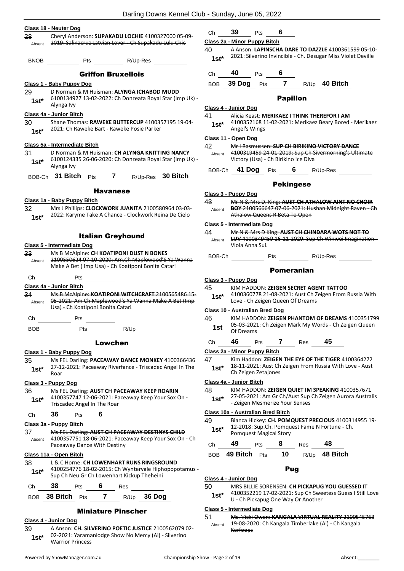| 28                        | Cheryl Anderson: SUPAKADU LOCHIE 4100327000 05 09-                                                                                               |  |  |  |  |
|---------------------------|--------------------------------------------------------------------------------------------------------------------------------------------------|--|--|--|--|
| Absent                    | 2019: Salinacruz Latvian Lover - Ch Supakadu Lulu Chic                                                                                           |  |  |  |  |
| <b>BNOB</b>               | R/Up-Res<br>Pts                                                                                                                                  |  |  |  |  |
|                           | <b>Griffon Bruxellois</b>                                                                                                                        |  |  |  |  |
|                           | Class 1 - Baby Puppy Dog                                                                                                                         |  |  |  |  |
| 29<br>$1st^*$             | D Norman & M Huisman: ALYNGA ICHABOD MUDD<br>6100134927 13-02-2022: Ch Donzeata Royal Star (Imp Uk) -<br>Alynga Ivy                              |  |  |  |  |
|                           | Class 4a - Junior Bitch                                                                                                                          |  |  |  |  |
| 30<br>$1st^*$             | Shane Thomas: RAWEKE BUTTERCUP 4100357195 19-04-<br>2021: Ch Raweke Bart - Raweke Posie Parker                                                   |  |  |  |  |
|                           | Class 5a - Intermediate Bitch                                                                                                                    |  |  |  |  |
| 31<br>$1st^*$             | D Norman & M Huisman: CH ALYNGA KNITTING NANCY<br>6100124335 26-06-2020: Ch Donzeata Royal Star (Imp Uk) -<br>Alynga Ivy                         |  |  |  |  |
|                           | BOB-Ch 31 Bitch Pts 7 R/Up-Res 30 Bitch                                                                                                          |  |  |  |  |
|                           | <b>Havanese</b>                                                                                                                                  |  |  |  |  |
|                           | Class 1a - Baby Puppy Bitch                                                                                                                      |  |  |  |  |
| 32<br>$1st^*$             | Mrs J Phillips: CLOCKWORK JUANITA 2100580964 03-03-<br>2022: Karyme Take A Chance - Clockwork Reina De Cielo                                     |  |  |  |  |
|                           | <b>Italian Greyhound</b>                                                                                                                         |  |  |  |  |
|                           | Class 5 - Intermediate Dog                                                                                                                       |  |  |  |  |
| 33 <sub>3</sub><br>Absent | Ms B McAlpine: CH KOATIPONI DUST N BONES<br>2100550624 07-10-2020: Am.Ch Maplewood'S Ya Wanna<br>Make A Bet (Imp Usa) Ch Koatiponi Bonita Catari |  |  |  |  |
| Сh                        | Pts                                                                                                                                              |  |  |  |  |
|                           | Class 4a - Junior Bitch                                                                                                                          |  |  |  |  |
| 34<br>Absent              | Ms B McAlpine: KOATIPONI WITCHCRAFT 2100565486 15-<br>05-2021: Am Ch Maplewood's Ya Wanna Make A Bet (Imp<br>Usa) - Ch Koatiponi Bonita Catari   |  |  |  |  |
| Сh                        | Pts                                                                                                                                              |  |  |  |  |
| BOB                       | Pts<br>R/Up                                                                                                                                      |  |  |  |  |
| Lowchen                   |                                                                                                                                                  |  |  |  |  |
|                           | Class 1 - Baby Puppy Dog                                                                                                                         |  |  |  |  |
| 35<br>$1st*$              | Ms FEL Darling: PACEAWAY DANCE MONKEY 4100366436<br>27-12-2021: Paceaway Riverfance - Triscadec Angel In The<br>Roar                             |  |  |  |  |
|                           | Class 3 - Puppy Dog                                                                                                                              |  |  |  |  |
| 36<br>1st*                | Ms FEL Darling: AUST CH PACEAWAY KEEP ROARIN<br>4100357747 12-06-2021: Paceaway Keep Your Sox On -<br>Triscadec Angel In The Roar                |  |  |  |  |
| Сh                        | 36<br>Pts $\overline{6}$                                                                                                                         |  |  |  |  |
|                           | Class 3a - Puppy Bitch                                                                                                                           |  |  |  |  |
| 37<br>Absent              | Ms FEL Darling: AUST CH PACEAWAY DESTINYS CHILD<br>4100357751 18-06-2021: Paceaway Keep Your Sox On - Ch<br><b>Paceaway Dance With Destiny</b>   |  |  |  |  |
|                           | Class 11a - Open Bitch                                                                                                                           |  |  |  |  |
| 38<br>1st*                | L & C Horne: CH LOWENHART RUNS RINGSROUND<br>4100254776 18-02-2015: Ch Wyntervale Hiphopopotamus -<br>Sup Ch Neu Gr Ch Lowenhart Kickup Theheini |  |  |  |  |
| Сh                        | 38<br>Pts $\begin{array}{cc} 6 & \text{Res} \end{array}$                                                                                         |  |  |  |  |
|                           | BOB 38 Bitch Pts 7 R/Up 36 Dog                                                                                                                   |  |  |  |  |
|                           | <b>Miniature Pinscher</b>                                                                                                                        |  |  |  |  |
|                           |                                                                                                                                                  |  |  |  |  |

### **Class 4 - Junior Dog**

39 A Anson: **CH. SILVERINO POETIC JUSTICE** 2100562079 02- 02-2021: Yaramanlodge Show No Mercy (Ai) - Silverino 1st\* U<sup>2-2021: Yarama<br>Warrior Princess</sup>

|                           | nnel Club - Sunday, June 05, 2022 |                                                               |                                                                                                                                              |                   |     |          |                                                          |
|---------------------------|-----------------------------------|---------------------------------------------------------------|----------------------------------------------------------------------------------------------------------------------------------------------|-------------------|-----|----------|----------------------------------------------------------|
|                           | Сh                                | 39                                                            | Pts                                                                                                                                          | 6                 |     |          |                                                          |
| <del>05-09-</del><br>:hic |                                   | Class 2a - Minor Puppy Bitch                                  |                                                                                                                                              |                   |     |          |                                                          |
|                           | 40<br>1st $^{\star}$              |                                                               | 2021: Silverino Invincible - Ch. Desugar Miss Violet Deville                                                                                 |                   |     |          | A Anson: LAPINSCHA DARE TO DAZZLE 4100361599 05-10-      |
|                           | Ch                                | 40                                                            | <b>Pts</b>                                                                                                                                   | 6                 |     |          |                                                          |
|                           |                                   | BOB 39 Dog Pts 7 R/Up 40 Bitch                                |                                                                                                                                              |                   |     |          |                                                          |
| mp Uk) -                  |                                   |                                                               |                                                                                                                                              | <b>Papillon</b>   |     |          |                                                          |
|                           |                                   | Class 4 - Junior Dog                                          |                                                                                                                                              |                   |     |          |                                                          |
| 19-04-                    | 41<br>$1st^*$                     | Alicia Keast: MERIKAEZ I THINK THEREFOR I AM<br>Angel's Wings |                                                                                                                                              |                   |     |          | 4100352168 11-02-2021: Merikaez Beary Bored - Merikaez   |
|                           |                                   | Class 11 - Open Dog                                           |                                                                                                                                              |                   |     |          |                                                          |
| <b>ANCY</b><br>mp Uk) -   | 42<br>Absent                      |                                                               | Mr I Rasmussen: SUP CH BIRIKINO VICTORY DANCE<br>4100319459 24 01 2019: Sup Ch Sivermorning's Ultimate<br>Victory (Usa) Ch Birikino Ice Diva |                   |     |          |                                                          |
|                           | BOB-Ch                            |                                                               | 41 Dog Pts 6 R/Up-Res                                                                                                                        |                   |     |          |                                                          |
| itch                      |                                   |                                                               |                                                                                                                                              |                   |     |          |                                                          |
|                           |                                   |                                                               |                                                                                                                                              | <b>Pekingese</b>  |     |          |                                                          |
| 03-03-                    | 43<br>Absent                      | <u> Class 3 - Puppy Dog</u>                                   | Mr N & Mrs D. King: AUST CH ATHALOW AINT NO CHOIR                                                                                            |                   |     |          | BOY 2100566647 07-06-2021: Hushan Midnight Raven - Ch    |
| Cielo                     |                                   |                                                               | Athalow Queens R Beta To Open                                                                                                                |                   |     |          |                                                          |
|                           | 44<br>Absent                      | Class 5 - Intermediate Dog<br><del>Viola Anna Sui.</del>      | Mr N & Mrs D King: AUST CH CHINDARA WOTS NOT TO                                                                                              |                   |     |          | LUV 4100349459 16-11-2020: Sup Ch Winwei Imagination-    |
| Nanna                     | BOB-Ch                            |                                                               | <b>Pts</b>                                                                                                                                   |                   |     | R/Up-Res |                                                          |
|                           |                                   |                                                               |                                                                                                                                              | <b>Pomeranian</b> |     |          |                                                          |
|                           |                                   | <u> Class 3 - Puppy Dog</u>                                   |                                                                                                                                              |                   |     |          |                                                          |
| e <del>t (Imp</del>       | 45<br>$1st^*$                     |                                                               | KIM HADDON: ZEIGEN SECRET AGENT TATTOO<br>4100360778 21-08-2021: Aust Ch Zeigen From Russia With<br>Love - Ch Zeigen Queen Of Dreams         |                   |     |          |                                                          |
|                           |                                   | Class 10 - Australian Bred Dog                                |                                                                                                                                              |                   |     |          |                                                          |
|                           | 46<br>1st                         | Of Dreams                                                     | 05-03-2021: Ch Zeigen Mark My Words - Ch Zeigen Queen                                                                                        |                   |     |          | KIM HADDON: ZEIGEN PHANTOM OF DREAMS 4100351799          |
|                           | Ch                                | 46                                                            | Pts                                                                                                                                          | $\mathbf{7}$      | Res | 45       |                                                          |
|                           |                                   | Class 2a - Minor Puppy Bitch                                  |                                                                                                                                              |                   |     |          |                                                          |
| 366436<br>l In The        | 47<br>$1st^*$                     |                                                               | Kim Haddon: ZEIGEN THE EYE OF THE TIGER 4100364272<br>18-11-2021: Aust Ch Zeigen From Russia With Love - Aust<br>Ch Zeigen Zetajones         |                   |     |          |                                                          |
|                           |                                   | Class 4a - Junior Bitch                                       |                                                                                                                                              |                   |     |          |                                                          |
| J<br>On -                 | 48<br>1st*                        |                                                               | KIM HADDON: ZEIGEN QUIET IM SPEAKING 4100357671<br>- Zeigen Mesmerize Your Senses                                                            |                   |     |          | 27-05-2021: Am Gr Ch/Aust Sup Ch Zeigen Aurora Australis |
|                           |                                   | Class 10a - Australian Bred Bitch                             |                                                                                                                                              |                   |     |          |                                                          |
| ЩĐ                        | 49<br>$1st*$                      |                                                               | Bianca Hickey: CH. POMQUEST PRECIOUS 4100314955 19-<br>12-2018: Sup.Ch. Pomquest Fame N Fortune - Ch.<br>Pomquest Magical Story              |                   |     |          |                                                          |
| On - Ch                   |                                   |                                                               |                                                                                                                                              |                   |     |          |                                                          |

Ch **49** Pts **8** Res **48** BOB **49 Bitch** Pts **10** R/Up **48 Bitch**

### Pug

### **Class 4 - Junior Dog**

50 MRS BILLIE SORENSEN: **CH PICKAPUG YOU GUESSED IT**

4100352219 17-02-2021: Sup Ch Sweetess Guess I Still Love **1st**\*  $4100352219$  17-02-2021: Sup Ch Swe<br>U - Ch Pickapug One Way Or Another

### **Class 5 - Intermediate Dog**

51 Ms. Vicki Owen: **KANGALA VIRTUAL REALITY** 2100545763 19-08-2020: Ch Kangala Timberlake (Ai) - Ch Kangala Kerfoops Absent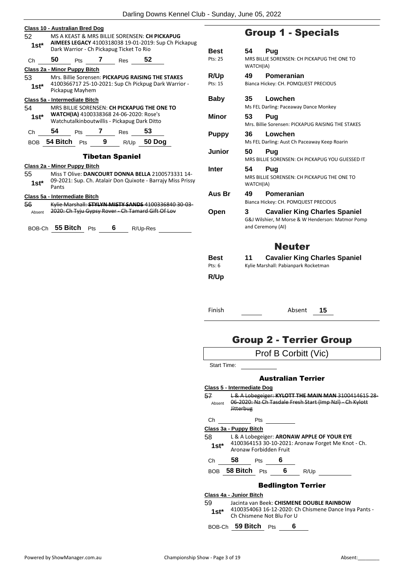| 52<br>$1st^*$ | Class 10 - Australian Bred Dog        |                 |                                                          | MS A KEAST & MRS BILLIE SORENSEN: CH PICKAPUG                                                             | AIMEES LEGACY 4100318038 19-01-2019: Sup Ch Pickapug                                                             |                         |                 | <b>Group 1</b>                                  |
|---------------|---------------------------------------|-----------------|----------------------------------------------------------|-----------------------------------------------------------------------------------------------------------|------------------------------------------------------------------------------------------------------------------|-------------------------|-----------------|-------------------------------------------------|
| Ch            | 50                                    |                 | Dark Warrior - Ch Pickapug Ticket To Rio<br>Pts 7 Res 52 |                                                                                                           |                                                                                                                  | <b>Best</b><br>Pts: 25  | 54<br>WATCH(IA) | Pug<br><b>MRS BILLIE SOREN</b>                  |
| 53<br>$1st^*$ | Class 2a - Minor Puppy Bitch          | Pickapug Mayhem |                                                          | Mrs. Billie Sorensen: PICKAPUG RAISING THE STAKES<br>4100366717 25-10-2021: Sup Ch Pickpug Dark Warrior - |                                                                                                                  | R/Up<br>Pts: 15         | 49              | Pomer<br>Bianca Hickey: CH.                     |
| 54            | Class 5a - Intermediate Bitch         |                 |                                                          | MRS BILLIE SORENSEN: CH PICKAPUG THE ONE TO                                                               |                                                                                                                  | <b>Baby</b>             | 35              | Lowch<br>Ms FEL Darling: Pa                     |
| 1st*          |                                       |                 | WATCH(IA) 4100338368 24-06-2020: Rose's                  | Watchutalkinboutwillis - Pickapug Dark Ditto                                                              |                                                                                                                  | Minor                   | 53              | Pug<br>Mrs. Billie Sorense                      |
| $Ch$ and $C$  |                                       |                 | 54 Pts 7 Res 53                                          | BOB 54 Bitch Pts 9 R/Up 50 Dog                                                                            |                                                                                                                  | <b>Puppy</b>            | 36              | Lowch<br>Ms FEL Darling: Au                     |
|               |                                       |                 | <b>Tibetan Spaniel</b>                                   |                                                                                                           |                                                                                                                  | Junior                  | 50              | <b>Pug</b><br><b>MRS BILLIE SOREN</b>           |
| 55<br>$1st^*$ | Class 2a - Minor Puppy Bitch<br>Pants |                 |                                                          |                                                                                                           | Miss T Olive: DANCOURT DONNA BELLA 2100573331 14-<br>09-2021: Sup. Ch. Atalair Don Quixote - Barrajy Miss Prissy | <b>Inter</b>            | 54<br>WATCH(IA) | Pug<br><b>MRS BILLIE SOREN</b>                  |
| 56            | Class 5a - Intermediate Bitch         |                 |                                                          |                                                                                                           | Kylie Marshall: STYLYN MISTY SANDS 4100336840 30-03-                                                             | Aus Br                  | 49              | Pomer<br>Bianca Hickey: CH.                     |
| Absent        |                                       |                 |                                                          | 2020: Ch Tyju Gypsy Rover - Ch Tamard Gift Of Lov<br>BOB-Ch 55 Bitch Pts 6 R/Up-Res                       |                                                                                                                  | Open                    | 3               | Cavali<br>G&J Wilshier, M M<br>and Ceremony (AI |
|               |                                       |                 |                                                          |                                                                                                           |                                                                                                                  |                         |                 | N                                               |
|               |                                       |                 |                                                          |                                                                                                           |                                                                                                                  | <b>Best</b><br>Pts: $6$ | 11              | Cavali<br>Kylie Marshall: Pal                   |

### - Specials

| Best        | Pug<br>54.                                        |  |  |  |  |  |  |
|-------------|---------------------------------------------------|--|--|--|--|--|--|
| Pts: 25     | MRS BILLIE SORENSEN: CH PICKAPUG THE ONE TO       |  |  |  |  |  |  |
|             | WATCH(IA)                                         |  |  |  |  |  |  |
|             | Pomeranian<br>49                                  |  |  |  |  |  |  |
| R/Up        |                                                   |  |  |  |  |  |  |
| Pts: 15     | Bianca Hickey: CH. POMQUEST PRECIOUS              |  |  |  |  |  |  |
| Baby        | Lowchen<br>35                                     |  |  |  |  |  |  |
|             | Ms FEL Darling: Paceaway Dance Monkey             |  |  |  |  |  |  |
|             |                                                   |  |  |  |  |  |  |
| Minor       | 53<br>Puq                                         |  |  |  |  |  |  |
|             | Mrs. Billie Sorensen: PICKAPUG RAISING THE STAKES |  |  |  |  |  |  |
| Puppy       | 36<br>Lowchen                                     |  |  |  |  |  |  |
|             | Ms FEL Darling: Aust Ch Paceaway Keep Roarin      |  |  |  |  |  |  |
| Junior      | 50<br>Pug                                         |  |  |  |  |  |  |
|             | MRS BILLIE SORENSEN: CH PICKAPUG YOU GUESSED IT   |  |  |  |  |  |  |
|             |                                                   |  |  |  |  |  |  |
| Inter       | Pug<br>54                                         |  |  |  |  |  |  |
|             | MRS BILLIE SORENSEN: CH PICKAPUG THE ONE TO       |  |  |  |  |  |  |
|             | WATCH(IA)                                         |  |  |  |  |  |  |
| Aus Br      | 49<br>Pomeranian                                  |  |  |  |  |  |  |
|             | Bianca Hickey: CH. POMQUEST PRECIOUS              |  |  |  |  |  |  |
| Open        | <b>Cavalier King Charles Spaniel</b><br>3         |  |  |  |  |  |  |
|             | G&J Wilshier, M Morse & W Henderson: Matmor Pomp  |  |  |  |  |  |  |
|             | and Ceremony (AI)                                 |  |  |  |  |  |  |
|             |                                                   |  |  |  |  |  |  |
|             |                                                   |  |  |  |  |  |  |
|             | <b>Neuter</b>                                     |  |  |  |  |  |  |
| Best        | <b>Cavalier King Charles Spaniel</b><br>11        |  |  |  |  |  |  |
| Pts: 6      | Kylie Marshall: Pabianpark Rocketman              |  |  |  |  |  |  |
|             |                                                   |  |  |  |  |  |  |
| <b>R/Up</b> |                                                   |  |  |  |  |  |  |
|             |                                                   |  |  |  |  |  |  |
|             |                                                   |  |  |  |  |  |  |
|             |                                                   |  |  |  |  |  |  |

Finish Absent **15**

# Group 2 - Terrier Group

|              | Prof B Corbitt (Vic)                                                                                                                |  |
|--------------|-------------------------------------------------------------------------------------------------------------------------------------|--|
| Start Time:  |                                                                                                                                     |  |
|              | <b>Australian Terrier</b>                                                                                                           |  |
|              | Class 5 - Intermediate Dog                                                                                                          |  |
| 57<br>Absent | L & A Lobegeiger: KYLOTT THE MAIN MAN 3100414615 28<br>06-2020: Nz Ch Tasdale Fresh Start (Imp NzI) - Ch Kylott<br><b>Jitterbug</b> |  |
| Ch           | <b>Pts</b>                                                                                                                          |  |
|              | Class 3a - Puppy Bitch                                                                                                              |  |
| 58           | L & A Lobegeiger: ARONAW APPLE OF YOUR EYE                                                                                          |  |
| $1st^*$      | 4100364153 30-10-2021: Aronaw Forget Me Knot - Ch.<br>Aronaw Forbidden Fruit                                                        |  |
| Ch           | 58<br>6<br><b>Pts</b>                                                                                                               |  |
|              | BOB 58 Bitch<br>6.<br>Pts<br>R/Up                                                                                                   |  |
|              | <b>Bedlington Terrier</b>                                                                                                           |  |
|              | Class 4a - Junior Bitch                                                                                                             |  |
| 59<br>1st*   | Jacinta van Beek: CHISMENE DOUBLE RAINBOW<br>4100354063 16-12-2020: Ch Chismene Dance Inya Pants -<br>Ch Chismene Not Blu For U     |  |
|              | BOB-Ch 59 Bitch Pts<br>6                                                                                                            |  |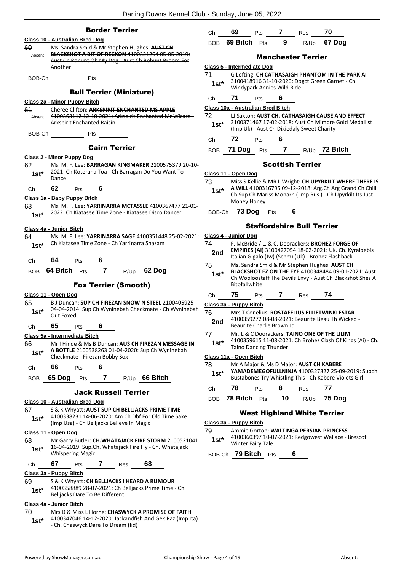|         | <b>Border Terrier</b>                                                                             |
|---------|---------------------------------------------------------------------------------------------------|
|         | Class 10 - Australian Bred Dog                                                                    |
| 60      | Ms. Sandra Smid & Mr Stephen Hughes: AUST CH                                                      |
| Absent  | BLACKSHOT A BIT OF RECKON 4100321204 05-05-2019:                                                  |
|         | Aust Ch Bohunt Oh My Dog - Aust Ch Bohunt Broom For<br>Another                                    |
|         |                                                                                                   |
| BOB-Ch  | Pts                                                                                               |
|         | <b>Bull Terrier (Miniature)</b>                                                                   |
|         | <u> Class 2a - Minor Puppy Bitch</u>                                                              |
| 61      | Cheree Clifton: ARKSPIRIT ENCHANTED MS APPLE                                                      |
|         | Absent 4100363112 12 10 2021: Arkspirit Enchanted Mr Wizard-<br><b>Arkspirit Enchanted Raisin</b> |
| BOB-Ch  | Pts                                                                                               |
|         | <b>Cairn Terrier</b>                                                                              |
|         | <b>Class 2 - Minor Puppy Dog</b>                                                                  |
| 62      | Ms. M. F. Lee: BARRAGAN KINGMAKER 2100575379 20-10-                                               |
| $1st^*$ | 2021: Ch Koterana Toa - Ch Barragan Do You Want To<br>Dance                                       |
| Сh      | 62<br>6 <sup>1</sup><br>Pts                                                                       |
|         | Class 1a - Baby Puppy Bitch                                                                       |
| 63      | Ms. M. F. Lee: YARRINARRA MCTASSLE 4100367477 21-01-                                              |
| 1st*    | 2022: Ch Kiatasee Time Zone - Kiatasee Disco Dancer                                               |
|         | Class 4a - Junior Bitch                                                                           |
| 64      | Ms. M. F. Lee: YARRINARRA SAGE 4100351448 25-02-2021:                                             |
| $1st^*$ | Ch Kiatasee Time Zone - Ch Yarrinarra Shazam                                                      |
|         | Ch <b>64</b> Pts<br>6                                                                             |
|         | BOB 64 Bitch Pts 7 R/Up 62 Dog                                                                    |
|         | <b>Fox Terrier (Smooth)</b>                                                                       |
|         | <u> Class 11 - Open Dog</u>                                                                       |
| 65      | B J Duncan: SUP CH FIREZAN SNOW N STEEL 2100405925                                                |
| 1st*    | 04-04-2014: Sup Ch Wyninebah Checkmate - Ch Wyninebah<br>Out Foxed                                |
| Сh      | 65<br>6<br>Pts                                                                                    |
|         | Class 5a - Intermediate Bitch                                                                     |
| 66      | Mr I Hinde & Ms B Duncan: AUS CH FIREZAN MESSAGE IN                                               |
| $1st*$  | A BOTTLE 2100538263 01-04-2020: Sup Ch Wyninebah<br>Checkmate - Firezan Bobby Sox                 |
| Ch      | -66<br>6<br>Pts                                                                                   |
|         | BOB 65 Dog Pts 7 R/Up 66 Bitch                                                                    |
|         |                                                                                                   |
|         | <b>Jack Russell Terrier</b>                                                                       |
|         | Class 10 - Australian Bred Dog                                                                    |
| 67      | S & K Whyatt: AUST SUP CH BELLJACKS PRIME TIME                                                    |
| $1st^*$ | 4100338231 14-06-2020: Am Ch Dbf For Old Time Sake<br>(Imp Usa) - Ch Belljacks Believe In Magic   |
|         | Class 11 - Open Dog                                                                               |
| 68      | Mr Garry Butler: CH.WHATAJACK FIRE STORM 2100521041                                               |
| $1st*$  | 16-04-2019: Sup.Ch. Whatajack Fire Fly - Ch. Whatajack<br><b>Whispering Magic</b>                 |
| Ch      | 68<br>67<br>$\overline{7}$<br><b>Pts</b><br>Res                                                   |
|         | Class 3a - Puppy Bitch                                                                            |
| 69      | S & K Whyatt: CH BELLJACKS I HEARD A RUMOUR                                                       |
| $1st*$  | 4100358889 28-07-2021: Ch Belljacks Prime Time - Ch<br>Belljacks Dare To Be Different             |
|         | Class 4a - Junior Bitch                                                                           |
| 70      | Mrs D & Miss L Horne: CHASWYCK A PROMISE OF FAITH                                                 |

4100347046 14-12-2020: Jackandfish And Gek Raz (Imp Ita) **1st**\* 4100347046 14-12-2020: Jackandfis<br>Ch. Chaswyck Dare To Dream (Iid)

| Ch. | 69               | <b>Pts</b> |    | <b>Res</b> |             |
|-----|------------------|------------|----|------------|-------------|
|     | BOB 69 Bitch Pts |            | -9 |            | R/Up 67 Dog |

### Manchester Terrier

| Class 5 - Intermediate Dog        |        |     |                                            |                  |                                                      |
|-----------------------------------|--------|-----|--------------------------------------------|------------------|------------------------------------------------------|
| 71                                |        |     |                                            |                  | G Lofting: CH CATHASAIGH PHANTOM IN THE PARK AI      |
| $1st*$                            |        |     | Windypark Annies Wild Ride                 |                  | 3100418916 31-10-2020: Dogct Green Garnet - Ch       |
| Сh                                | 71     | Pts | 6                                          |                  |                                                      |
| Class 10a - Australian Bred Bitch |        |     |                                            |                  |                                                      |
| 72                                |        |     |                                            |                  | LI Saxton: AUST CH. CATHASAIGH CAUSE AND EFFECT      |
| $1st^*$                           |        |     | (Imp Uk) - Aust Ch Dixiedaly Sweet Charity |                  | 3100371467 17-02-2018: Aust Ch Mimbre Gold Medallist |
| Сh                                | 72     | Pts |                                            |                  |                                                      |
| BOB                               | 71 Doa | Pts |                                            | R/U <sub>p</sub> | 72 Bitch                                             |
|                                   |        |     |                                            |                  |                                                      |

### Scottish Terrier

|  | Class 11 - Open Dog |  |  |  |
|--|---------------------|--|--|--|
|--|---------------------|--|--|--|

73 Miss S Kellie & MR L Wright: **CH UPYRKILT WHERE THERE IS A WILL** 4100316795 09-12-2018: Arg.Ch Arg Grand Ch Chill

Ch Sup Ch Mariss Monarh ( Imp Rus ) - Ch Upyrkilt Its Just Money Honey **1st\***

BOB-Ch **73 Dog** Pts **6**

### Staffordshire Bull Terrier

|                                                                                                                                                                        |                                                                                                                                                                                                 |            |           | Stanorusnire Bull Terrier |                                                                                                                                                                         |  |
|------------------------------------------------------------------------------------------------------------------------------------------------------------------------|-------------------------------------------------------------------------------------------------------------------------------------------------------------------------------------------------|------------|-----------|---------------------------|-------------------------------------------------------------------------------------------------------------------------------------------------------------------------|--|
| Class 4 - Junior Dog                                                                                                                                                   |                                                                                                                                                                                                 |            |           |                           |                                                                                                                                                                         |  |
| 74<br>2nd                                                                                                                                                              |                                                                                                                                                                                                 |            |           |                           | F. McBride / L. & C. Doorackers: BROHEZ FORGE OF<br><b>EMPIRES (AI)</b> 3100427054 18-02-2021: Uk. Ch. Kyraloebis<br>Italian Gigalo (Jw) (Schm) (Uk) - Brohez Flashback |  |
| 75<br>$1st*$                                                                                                                                                           | Ms. Sandra Smid & Mr Stephen Hughes: AUST CH<br><b>BLACKSHOT EZ ON THE EYE 4100348484 09-01-2021: Aust</b><br>Ch Wooloostaff The Devils Envy - Aust Ch Blackshot Shes A<br><b>Bitofallwhite</b> |            |           |                           |                                                                                                                                                                         |  |
| Ch                                                                                                                                                                     | 75                                                                                                                                                                                              |            | Pts 7 Res |                           | - 74                                                                                                                                                                    |  |
| Class 3a - Puppy Bitch                                                                                                                                                 |                                                                                                                                                                                                 |            |           |                           |                                                                                                                                                                         |  |
| 76<br>2nd                                                                                                                                                              | Mrs T Conelius: ROSTAFELIUS ELLIETWINKLESTAR<br>4100359272 08-08-2021: Beaurite Beau Th Wicked -<br>Beaurite Charlie Brown Jc                                                                   |            |           |                           |                                                                                                                                                                         |  |
| 77<br>$1st^*$                                                                                                                                                          | Mr. L & C Doorackers: TAINO ONE OF THE LILIM<br>4100359615 11-08-2021: Ch Brohez Clash Of Kings (Ai) - Ch.<br><b>Taino Dancing Thunder</b>                                                      |            |           |                           |                                                                                                                                                                         |  |
| Class 11a - Open Bitch                                                                                                                                                 |                                                                                                                                                                                                 |            |           |                           |                                                                                                                                                                         |  |
| 78<br>Mr A Major & Ms D Major: AUST CH KABERE<br>YAMADEMEGOFULLNINJA 4100327327 25-09-2019: Supch<br>$1st^*$<br>Bustabones Try Whistling This - Ch Kabere Violets Girl |                                                                                                                                                                                                 |            |           |                           |                                                                                                                                                                         |  |
| Ch                                                                                                                                                                     | 78                                                                                                                                                                                              | <b>Pts</b> | 8.        | Res                       | 77                                                                                                                                                                      |  |
| <b>BOB</b>                                                                                                                                                             | 78 Bitch                                                                                                                                                                                        | Pts        | 10        | R/Up                      | 75 Dog                                                                                                                                                                  |  |

### West Highland White Terrier

### **Class 3a - Puppy Bitch**

79 Ammie Gorton: **WALTINGA PERSIAN PRINCESS** 4100360397 10-07-2021: Redgowest Wallace - Brescot Winter Fairy Tale **1st\***

BOB-Ch **79 Bitch** Pts **6**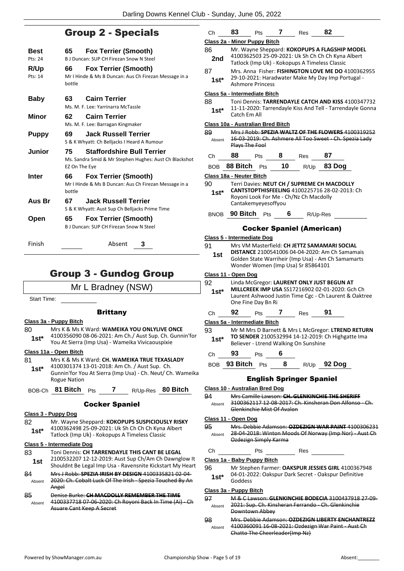### Group 2 - Specials

| Best<br>Pts: 24 | 65                  | <b>Fox Terrier (Smooth)</b><br>B J Duncan: SUP CH Firezan Snow N Steel                      |
|-----------------|---------------------|---------------------------------------------------------------------------------------------|
| R/Up<br>Pts: 14 | 66<br>bottle        | <b>Fox Terrier (Smooth)</b><br>Mr I Hinde & Ms B Duncan: Aus Ch Firezan Message in a        |
| <b>Baby</b>     | 63.                 | <b>Cairn Terrier</b><br>Ms. M. F. Lee: Yarrinarra McTassle                                  |
| Minor           | 62.                 | <b>Cairn Terrier</b><br>Ms. M. F. Lee: Barragan Kingmaker                                   |
| <b>Puppy</b>    | 69                  | Jack Russell Terrier<br>S & K Whyatt: Ch Belljacks I Heard A Rumour                         |
| Junior          | 75<br>EZ On The Eye | <b>Staffordshire Bull Terrier</b><br>Ms. Sandra Smid & Mr Stephen Hughes: Aust Ch Blackshot |
| Inter           | 66<br>hottle        | <b>Fox Terrier (Smooth)</b><br>Mr I Hinde & Ms B Duncan: Aus Ch Firezan Message in a        |
| Aus Br          | 67.                 | Jack Russell Terrier<br>S & K Whyatt: Aust Sup Ch Belljacks Prime Time                      |
| Open            | 65                  | <b>Fox Terrier (Smooth)</b><br>B. I Duncan: SUP CH Firezan Snow N Steel                     |

Finish Absent **3**

### Group 3 - Gundog Group

Mr L Bradney (NSW)

Start Time:

### **Brittany**

**Class 3a - Puppy Bitch**

- 80 Mrs K & Ms K Ward: **WAMEIKA YOU ONLYLIVE ONCE**
- 4100356090 08-06-2021: Am Ch./ Aust Sup. Ch. Gunnin'for **1st** 4100356090 08-06-2021: Am Ch. / Aust Sup. Ch. G<br>You At Sierra (Imp Usa) - Wameika Vivicaouspixie

### **Class 11a - Open Bitch**

- 81 Mrs K & Ms K Ward: **CH. WAMEIKA TRUE TEXASLADY** 4100301374 13-01-2018: Am Ch. / Aust Sup. Ch. Gunnin'for You At Sierra (Imp Usa) - Ch. Neut/ Ch. Wameika Rogue Nation **1st\***
- BOB-Ch **81 Bitch** Pts **7** R/Up-Res **80 Bitch**

### Cocker Spaniel

### **Class 3 - Puppy Dog**

82 Mr. Wayne Sheppard: **KOKOPUPS SUSPICIOUSLY RISKY** 4100362498 25-09-2021: Uk Sh Ch Ch Ch Kyna Albert **1st** 4100362498 25-09-2021: UK Sh Ch Ch Ch Kyna<br>Tatlock (Imp Uk) - Kokopups A Timeless Classic

### **Class 5 - Intermediate Dog**

- 83 Toni Dennis: **CH TARRENDAYLE THIS CANT BE LEGAL** 2100532207 12-12-2019: Aust Sup Ch/Am Ch Dawnglow It **1st** 2100532207 12-12-2019: Aust Sup Un/Am Un Dawnglow it<br>Shouldnt Be Legal Imp Usa - Ravensnite Kickstart My Heart
- 84 Mrs J Robb: **SPEZIA IRISH BY DESIGN** 4100335821 02-04- 2020: Ch. Cobalt Luck Of The Irish - Spezia Touched By An Angel Absent

#### 85 Denise Burke: **CH MACDOLLY REMEMBER THE TIME** 4100337718 07-06-2020: Ch Royoni Back In Time (Ai) - Ch Asuare Cant Keep A Secret Absent

| Ch                                                | 83       | Pts                     | 7                          | Res                                    | 82                                                                                                                                                   |                                                                                                                 |
|---------------------------------------------------|----------|-------------------------|----------------------------|----------------------------------------|------------------------------------------------------------------------------------------------------------------------------------------------------|-----------------------------------------------------------------------------------------------------------------|
| Class 2a - Minor Puppy Bitch                      |          |                         |                            |                                        |                                                                                                                                                      |                                                                                                                 |
| 86<br>2nd                                         |          |                         |                            |                                        | Mr. Wayne Sheppard: KOKOPUPS A FLAGSHIP MODEL<br>4100362503 25-09-2021: Uk Sh Ch Ch Ch Kyna Albert<br>Tatlock (Imp Uk) - Kokopups A Timeless Classic |                                                                                                                 |
| 87<br>$1st*$                                      |          | <b>Ashmore Princess</b> |                            |                                        | 29-10-2021: Haradwater Make My Day Imp Portugal -                                                                                                    | Mrs. Anna Fisher: FISHINGTON LOVE ME DO 4100362955                                                              |
| Class 5a - Intermediate Bitch<br>88<br>1st*       |          |                         |                            |                                        |                                                                                                                                                      | Toni Dennis: TARRENDAYLE CATCH AND KISS 4100347732<br>11-11-2020: Tarrendayle Kiss And Tell - Tarrendayle Gonna |
|                                                   |          | Catch Em All            |                            |                                        |                                                                                                                                                      |                                                                                                                 |
| Class 10a - Australian Bred Bitch<br>89<br>Absent |          | Plays The Fool          |                            |                                        |                                                                                                                                                      | Mrs J Robb: SPEZIA WALTZ OF THE FLOWERS 4100319252<br>16 03 2019: Ch. Ashmere All Too Sweet Ch. Spezia Lady     |
| Сh                                                | 88       | Pts                     | 8                          | Res                                    | 87                                                                                                                                                   |                                                                                                                 |
| <b>BOB</b>                                        | 88 Bitch | Pts                     | 10                         | R/Up                                   | 83 Dog                                                                                                                                               |                                                                                                                 |
| <b>Class 18a - Neuter Bitch</b>                   |          |                         |                            |                                        |                                                                                                                                                      |                                                                                                                 |
| 90<br>$1st*$                                      |          | Cantakemyeyesoffyou     |                            | Royoni Look For Me - Ch/Nz Ch Macdolly | Terri Davies: NEUT CH / SUPREME CH MACDOLLY<br>CANTSTOPTHISFEELING 4100225716 28-02-2013: Ch                                                         |                                                                                                                 |
| <b>BNOB</b>                                       | 90 Bitch | Pts                     | 6                          |                                        | R/Up-Res                                                                                                                                             |                                                                                                                 |
|                                                   |          |                         |                            |                                        | <b>Cocker Spaniel (American)</b>                                                                                                                     |                                                                                                                 |
| Class 5 - Intermediate Dog                        |          |                         |                            |                                        |                                                                                                                                                      |                                                                                                                 |
| 91<br>1st                                         |          |                         |                            | Wonder Women (Imp Usa) Sr 85864101     | Mrs VM Masterfield: CH JETTZ SAMAMARI SOCIAL<br>DISTANCE 2100541006 04-04-2020: Am Ch Samamais<br>Golden State Warriheir (Imp Usa) - Am Ch Samamarts |                                                                                                                 |
| Class 11 - Open Dog                               |          |                         |                            |                                        |                                                                                                                                                      |                                                                                                                 |
| 92<br>$1st^*$                                     |          | One Fine Day Bn Ri      |                            |                                        | Linda McGregor: LAURENT ONLY JUST BEGUN AT<br>MILLCREEK IMP USA SS17216902 02-01-2020: Gch Ch                                                        | Laurent Ashwood Justin Time Cgc - Ch Laurent & Oaktree                                                          |
| Ch                                                | 92       | Pts                     | 7                          | Res                                    | 91                                                                                                                                                   |                                                                                                                 |
| Class 5a - Intermediate Bitch                     |          |                         |                            |                                        |                                                                                                                                                      |                                                                                                                 |
| 93<br>$1st^*$                                     |          |                         |                            |                                        | TO SENDER 2100532994 14-12-2019: Ch Highgatte Ima                                                                                                    | Mr M Mrs D Barnett & Mrs L McGregor: LTREND RETURN                                                              |
|                                                   |          |                         |                            | Believer - Ltrend Walking On Sunshine  |                                                                                                                                                      |                                                                                                                 |
| Ch                                                |          | <b>93</b> Pts 6         |                            |                                        |                                                                                                                                                      |                                                                                                                 |
|                                                   |          | BOB 93 Bitch Pts        |                            |                                        | 8 R/Up 92 Dog                                                                                                                                        |                                                                                                                 |
|                                                   |          |                         |                            | <b>English Springer Spaniel</b>        |                                                                                                                                                      |                                                                                                                 |
| <b>Class 10 - Australian Bred Dog</b>             |          |                         |                            |                                        |                                                                                                                                                      |                                                                                                                 |
| 94<br>Absent                                      |          |                         | Glenkinchie Mist Of Avalon |                                        | Mrs Camille Lawson: CH. GLENKINCHIE THE SHERIFF                                                                                                      | 3100362117 12-08-2017: Ch. Kinsheran Don Alfonso - Ch.                                                          |
| <u> Class 11 - Open Dog</u>                       |          |                         |                            |                                        |                                                                                                                                                      |                                                                                                                 |
| 95<br>Absent                                      |          | Ozdezign Simply Karma   |                            |                                        |                                                                                                                                                      | Mrs. Debbie Adamson: QZDEZIGN WAR PAINT 4100306231<br>28-04-2018: Winton Moods Of Norway (Imp Nor) - Aust Ch    |
| Сh                                                |          | Pts                     | <b>Res</b>                 |                                        |                                                                                                                                                      |                                                                                                                 |
| Class 1a - Baby Puppy Bitch                       |          |                         |                            |                                        |                                                                                                                                                      |                                                                                                                 |
| 1st*                                              | Goddess  |                         |                            |                                        | 04-01-2022: Oakspur Dark Secret - Oakspur Definitive                                                                                                 | 96 Mr Stephen Farmer: OAKSPUR JESSIES GIRL 4100367948                                                           |
| Class 3a - Puppy Bitch<br>97                      |          |                         | وبالمرود الملا             |                                        |                                                                                                                                                      | M & C Lawson: GLENKINCHIE BODECIA 3100437918 27-09-                                                             |

#### 2021: Sup. Ch. Kinsheran Ferrando - Ch. Glenkinchie Downtown Abbey Absent 98 Mrs. Debbie Adamson: **OZDEZIGN LIBERTY ENCHANTREZZ**

4100360091 16-08-2021: Ozdezign War Paint - Aust Ch Chatto The Cheerleader(Imp Nz) Absent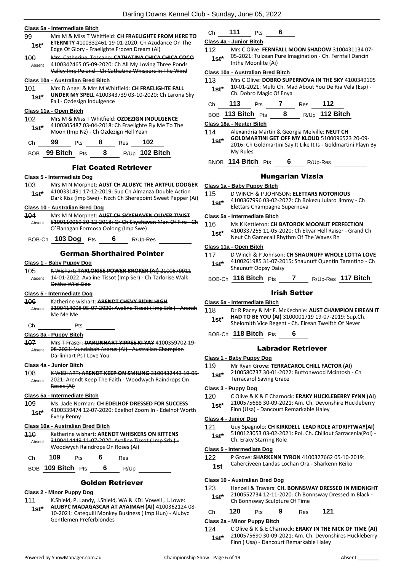|                   | <u> Class 5a - Intermediate Bitch</u>                                                                                                                                                                |                                             |
|-------------------|------------------------------------------------------------------------------------------------------------------------------------------------------------------------------------------------------|---------------------------------------------|
| 99<br>1st*        | Mrs M & Miss T Whitfield: CH FRAELIGHTE FROM HERE TO<br><b>ETERNITY</b> 4100332461 19-01-2020: Ch Azudance On The<br>Edge Of Glory - Fraelighte Frozen Dream (Ai)                                    | $\overline{\mathsf{C}}$<br>1                |
| 100<br>Absent     | Mrs. Catherine Toscano: CATHATINA CHICA CHICA COCO<br>4100342465 05 09 2020: Ch All My Loving Three Ponds<br>Valley Imp Poland - Ch Cathatina Whispers In The Wind                                   | C                                           |
| 101<br>$1st*$     | Class 10a - Australian Bred Bitch<br>Mrs D Angel & Mrs M Whitfield: CH FRAELIGHTE FALL<br>UNDER MY SPELL 4100343739 03-10-2020: Ch Larona Sky<br>Fall - Ozdesign Indulgence                          |                                             |
| 102<br>$1st^*$    | Class 11a - Open Bitch<br>Mrs M & Miss T Whitfield: <b>OZDEZIGN INDULGENCE</b><br>4100305487 03-04-2018: Ch Fraelighte Fly Me To The<br>Moon (Imp Nz) - Ch Ozdezign Hell Yeah                        | C                                           |
| Ch                | 99<br>8<br>102<br>Pts<br>Res                                                                                                                                                                         |                                             |
| <b>BOB</b>        | R/Up 102 Bitch<br>99 Bitch Pts<br>8                                                                                                                                                                  |                                             |
|                   | <b>Flat Coated Retriever</b>                                                                                                                                                                         |                                             |
| 103<br>$1st^*$    | Class 5 - Intermediate Dog<br>Mrs M N Morphet: AUST CH ALUBYC THE ARTFUL DODGER<br>4100331491 17-12-2019: Sup Ch Almanza Double Action<br>Dark Kiss (Imp Swe) - Nzch Ch Sherepoint Sweet Pepper (Ai) | C<br>1                                      |
| 104<br>Absent     | Class 10 - Australian Bred Dog<br>Mrs M N Morphet: AUST CH SKYEHAVEN OLIVER TWIST<br>5100110069 30-12-2018: Gr Ch Skyehaven Man Of Fire - Ch                                                         | $\overline{\mathsf{C}}$                     |
|                   | O'Flanagan Formosa Oolong (Imp Swe)                                                                                                                                                                  |                                             |
|                   | BOB-Ch 103 Dog<br>6<br>R/Up-Res<br><b>Pts</b>                                                                                                                                                        |                                             |
|                   | <b>German Shorthaired Pointer</b><br><u> Class 1 - Baby Puppy Dog</u>                                                                                                                                |                                             |
| 105<br>Absent     | K Wishart: TARLORISE POWER BROKER (AI) 2100579911<br>14-01-2022: Avaline Tissot (Imp Ser) - Ch Tarlorise Walk<br>Onthe Wild Side                                                                     |                                             |
|                   | Class 5 - Intermediate Dog                                                                                                                                                                           |                                             |
| Absent            | Katherine wishart: ARENDT CHEVY RIDIN HIGH<br>3100414098 05-07-2020: Avaline Tissot (Imp Srb) - Arendt<br>Me Me Me                                                                                   |                                             |
| Ch                | Pts                                                                                                                                                                                                  |                                             |
| Absent            | Class 3a - Puppy Bitch<br>Mrs T Fraser: DARLINHART YIPPEE KI YAY 4100359702 19-<br>08-2021: Vundabah Azarus (Ai) - Australian Champion                                                               |                                             |
| 106<br><b>107</b> | Darlinhart Ps I Love You                                                                                                                                                                             |                                             |
| 108<br>Absent     | Class 4a - Junior Bitch<br>K WISHART: ARENDT KEEP ON SMILING 3100432443 19-05-<br>2021: Arendt Keep The Faith - Woodwych Raindrops On                                                                |                                             |
|                   | Roses (Ai)<br>Class 5a - Intermediate Bitch                                                                                                                                                          |                                             |
| 109<br>1st*       | Ms. Jade Norman: CH EDELHOF DRESSED FOR SUCCESS<br>4100339474 12-07-2020: Edelhof Zoom In - Edelhof Worth                                                                                            |                                             |
|                   | <b>Every Penny</b>                                                                                                                                                                                   | $\overline{\mathbf{C}}$<br>1<br>S<br>1<br>C |
| 110<br>Absent     | Class 10a - Australian Bred Bitch<br>Katherine wishart: ARENDT WHISKERS ON KITTENS<br>3100414449 11-07-2020: Avaline Tissot (Imp Srb) -                                                              |                                             |
| Ch                | Woodwych Raindrops On Roses (Ai)<br>109<br>6<br><b>Pts</b><br>Res                                                                                                                                    | C                                           |

### Golden Retriever

### **Class 2 - Minor Puppy Dog**

- 111 K.Shield, P. Landy, J.Shield, WA & KDL Vowell , L.Lowe:
- **ALUBYC MADAGASCAR AT AYAIMAH (AI)** 4100362124 08- 10-2021: Catequill Monkey Business ( Imp Hun) - Alubyc Gentlemen Preferblondes **1st\***

### Ch **111** Pts **6**

### **Class 4a - Junior Bitch**

112 Mrs C Olive: **FERNFALL MOON SHADOW** 3100431134 07- 05-2021: Tulzean Pure Imagination - Ch. Fernfall Dancin Inthe Moonlite (Ai) **1st\***

### **Class 10a - Australian Bred Bitch**

113 Mrs C Olive: **DOBRO SUPERNOVA IN THE SKY** 4100349105 10-01-2021: Multi Ch. Mad About You De Ria Vela (Esp) - **1st** 10-01-2021: Multi Ch. Mannel Ch. Dobro Magic Of Enya

| -113<br>112 |
|-------------|

### BOB **113 Bitch** Pts **8** R/Up **112 Bitch**

**Class 18a - Neuter Bitch**

114 Alexandria Martin & Georgia Melville: **NEUT CH** 

- **GOLDMARTINI GET OFF MY KLOUD** 5100096523 20-09- 2016: Ch Goldmartini Say It Like It Is - Goldmartini Playn By My Rules **1st\***
- BNOB **114 Bitch** Pts **6** R/Up-Res

### Hungarian Vizsla

### **Class 1a - Baby Puppy Bitch**

- 115 D WINCH & P JOHNSON: **ELETTARS NOTORIOUS**
- 4100367996 03-02-2022: Ch Bokezu Jularo Jimmy Ch Elettars Champagne Supernova **1st\***

### **Class 5a - Intermediate Bitch**

16 Ms K Kettleton: **CH BATOROK MOONLIT PERFECTION** 4100337255 11-05-2020: Ch Ekvar Hell Raiser - Grand Ch Neut Ch Gamecall Rhythm Of The Waves Rn **1st\***

### **Class 11a - Open Bitch**

- 17 D Winch & P Johnson: CH SHAUNUFF WHOLE LOTTA LOVE 4100261985 31-07-2015: Shaunuff Quentin Tarantino - Ch Shaunuff Oopsy Daisy **1st\***
- BOB-Ch **116 Bitch** Pts **7** R/Up-Res **117 Bitch**

### Irish Setter

### **Class 5a - Intermediate Bitch**

- 118 Dr R Pacey & Mr F. McKechnie: **AUST CHAMPION EIREAN IT**
- **HAD TO BE YOU (AI)** 3100001719 19-07-2019: Sup.Ch. Shelomith Vice Regent - Ch. Eirean Twelfth Of Never **1st\***
- BOB-Ch **118 Bitch** Pts **6**

### Labrador Retriever

### **Class 1 - Baby Puppy Dog**

- 119 Mr Ryan Grove: **TERRACAROL CHILL FACTOR (AI)**
- 2100580737 30-01-2022: Buttonwood Mcintosh Ch Terracarol Saving Grace **1st\***

### **Class 3 - Puppy Dog**

- 120 C Olive & K & E Charnock: **ERAKY HUCKLEBERRY FYNN (AI)**
- 2100575688 30-09-2021: Am. Ch. Devonshire Huckleberry Finn (Usa) - Dancourt Remarkable Haley **1st\***

### **Class 4 - Junior Dog**

121 Guy Spagnolo: **CH KIRKDELL LEAD ROLE ATDRIFTWAY(AI)** 5100123053 03-02-2021: Pol. Ch. Chillout Sarracenia(Pol) - 1st\* 5100123053 03-02-202<br>Ch. Eraky Starring Role

### **Class 5 - Intermediate Dog**

- 122 P Grove: **SHARKENN TYRON** 4100327662 05-10-2019:
- 1st Caherciveen Landas Lochan Ora Sharkenn Reiko

### **Class 10 - Australian Bred Dog**

123 Henzell & Travers: **CH. BONNSWAY DRESSED IN MIDNIGHT** 2100552734 12-11-2020: Ch Bonnsway Dressed In Black - **1st\*** 2100552734 12-11-2020: Ch Bonnsway Sculpture Of Time

### Ch **120** Pts **9** Res **121**

**Class 2a - Minor Puppy Bitch**

124 C Olive & K & E Charnock: **ERAKY IN THE NICK OF TIME (AI)** 2100575690 30-09-2021: Am. Ch. Devonshires Huckleberry Finn ( Usa) - Dancourt Remarkable Haley **1st\***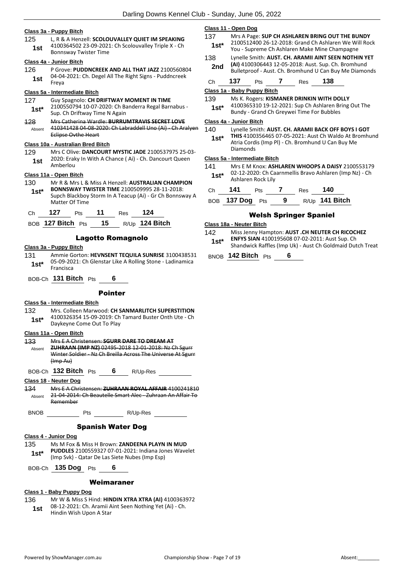### **Class 3a - Puppy Bitch**

125 L, R & A Henzell: **SCOLOUVALLEY QUIET IM SPEAKING** 4100364502 23-09-2021: Ch Scolouvalley Triple X - Ch **1st** 4100364502 23-09-2021<br>Bonnsway Twister Time

### **Class 4a - Junior Bitch**

126 P Grove: **PUDDNCREEK AND ALL THAT JAZZ** 2100560804 04-04-2021: Ch. Degel All The Right Signs - Puddncreek Freya **1st**

### **Class 5a - Intermediate Bitch**

- 127 Guy Spagnolo: **CH DRIFTWAY MOMENT IN TIME** 2100550794 10-07-2020: Ch Banderra Regal Barnabus - **1st**\* 2100550794 10-07-2020: Ch Band Sup. Ch Driftway Time N Again
- 128 Mrs Catherina Wardle: **BURRUMTRAVIS SECRET LOVE** 410341428 04-08-2020: Ch Labraddell Uno (Ai) - Ch Aralyen Eclipse Ovthe Heart Absent

### **Class 10a - Australian Bred Bitch**

129 Mrs C Olive: **DANCOURT MYSTIC JADE** 2100537975 25-03- 2020: Eraky In With A Chance ( Ai) - Ch. Dancourt Queen 1st <sup>2020</sup> **1st** 

### **Class 11a - Open Bitch**

130 Mr R & Mrs L & Miss A Henzell: **AUSTRALIAN CHAMPION BONNSWAY TWISTER TIME** 2100509995 28-11-2018: Supch Blackboy Storm In A Teacup (Ai) - Gr Ch Bonnsway A Matter Of Time **1st\***

|  | ເວ<br>. | __ | ە ( |
|--|---------|----|-----|
|  |         |    |     |

BOB **127 Bitch** Pts **15** R/Up **124 Bitch**

### Lagotto Romagnolo

### **Class 3a - Puppy Bitch**

- 131 Ammie Gorton: **HEVNSENT TEQUILA SUNRISE** 3100438531 05-09-2021: Ch Glenstar Like A Rolling Stone - Ladinamica 1st<sup>\* 05-09-20</sup><br>Francisca
- BOB-Ch **131 Bitch** Pts **6**

### Pointer

### **Class 5a - Intermediate Bitch**

132 Mrs. Colleen Marwood: **CH SANMARLITCH SUPERSTITION** 4100326354 15-09-2019: Ch Tamard Buster Onth Ute - Ch Daykeyne Come Out To Play **1st\***

### **Class 11a - Open Bitch**

133 Mrs E A Christensen: **SGURR DARE TO DREAM AT ZUHRAAN (IMP NZ)** 02495-2018 12-01-2018: Nz Ch Sgurr Winter Soldier - Nz Ch Breilla Across The Universe At Sgurr (Imp Au) Absent

BOB-Ch **132 Bitch** Pts **6** R/Up-Res

**Class 18 - Neuter Dog**

134 Mrs E A Christensen: **ZUHRAAN ROYAL AFFAIR** 4100241810 21-04-2014: Ch Beautelle Smart Alec - Zuhraan An Affair To Remember Absent

BNOB Pts R/Up-Res

### Spanish Water Dog

- **Class 4 - Junior Dog**
- 135 Ms M Fox & Miss H Brown: **ZANDEENA PLAYN IN MUD PUDDLES** 2100559327 07-01-2021: Indiana Jones Wavelet (Imp Svk) - Qatar De Las Siete Nubes (Imp Esp) **1st\***

| BOB-Ch 135 Dog Pts |  |  |  | 6 |
|--------------------|--|--|--|---|
|--------------------|--|--|--|---|

### Weimaraner

### **Class 1 - Baby Puppy Dog**

136 Mr W & Miss S Hind: **HINDIN XTRA XTRA (AI)** 4100363972 08-12-2021: Ch. Aramii Aint Seen Nothing Yet (Ai) - Ch. **1st** U8-12-2021: Ch. Aramii A<br>Hindin Wish Upon A Star

### **Class 11 - Open Dog**

- 137 Mrs A Page: **SUP CH ASHLAREN BRING OUT THE BUNDY** 2100512400 26-12-2018: Grand Ch Ashlaren We Will Rock You - Supreme Ch Ashlaren Make Mine Champagne **1st\***
- 138 Lynelle Smith: **AUST. CH. ARAMII AINT SEEN NOTHIN YET (AI)** 4100306443 12-05-2018: Aust. Sup. Ch. Bromhund **2nd** (AI) 4100306443 12-05-2018: Aust. Sup. Ch. Bromhund Bulletproof - Aust. Ch. Bromhund U Can Buy Me Diamonds

Ch **137** Pts **7** Res **138**

- **Class 1a - Baby Puppy Bitch**
- 139 Ms K. Rogers: **KISMANER DRINKIN WITH DOLLY**
- 4100365310 19-12-2021: Sup Ch Ashlaren Bring Out The **1st** 4100365310 19-12-2021: Sup Ch Ashiaren Brand Ch Greywei Time For Bubbles

### **Class 4a - Junior Bitch**

140 Lynelle Smith: **AUST. CH. ARAMII BACK OFF BOYS I GOT THIS** 4100356465 07-05-2021: Aust Ch Waldo At Bromhund Atria Cordis (Imp Pl) - Ch. Bromhund U Can Buy Me Diamonds **1st\***

### **Class 5a - Intermediate Bitch**

141 Mrs E M Knox: **ASHLAREN WHOOPS A DAISY** 2100553179 02-12-2020: Ch Caarnmellis Bravo Ashlaren (Imp Nz) - Ch Ashlaren Rock Lily **1st\***

| Ch | 141                    | <b>Pts</b> |     | Res | 140                   |
|----|------------------------|------------|-----|-----|-----------------------|
|    | BOB <b>137 Dog</b> Pts |            | - 9 |     | R/Up <b>141 Bitch</b> |

### Welsh Springer Spaniel

### **Class 18a - Neuter Bitch**

142 Miss Jenny Hampton: **AUST .CH NEUTER CH RICOCHEZ ENFYS SIAN** 4100195608 07-02-2011: Aust Sup. Ch Shandwick Raffles (Imp Uk) - Aust Ch Goldmaid Dutch Treat **1st\***

BNOB **142 Bitch** Pts **6**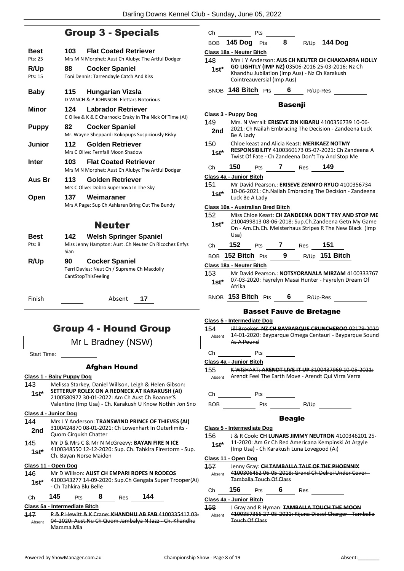### Group 3 - Specials

| Best                       | 103         | <b>Flat Coated Retriever</b>                                                                                          |
|----------------------------|-------------|-----------------------------------------------------------------------------------------------------------------------|
| Pts: 25<br>R/Up<br>Pts: 15 | 88          | Mrs M N Morphet: Aust Ch Alubyc The Artful Dodger<br><b>Cocker Spaniel</b><br>Toni Dennis: Tarrendayle Catch And Kiss |
| <b>Baby</b>                | 115         | <b>Hungarian Vizsla</b><br>D WINCH & P JOHNSON: Elettars Notorious                                                    |
| Minor                      | 124         | Labrador Retriever<br>C Olive & K & E Charnock: Eraky In The Nick Of Time (AI)                                        |
| <b>Puppy</b>               | 82          | <b>Cocker Spaniel</b><br>Mr. Wayne Sheppard: Kokopups Suspiciously Risky                                              |
| Junior                     | 112         | Golden Retriever<br>Mrs C Olive: Fernfall Moon Shadow                                                                 |
| Inter                      | 103.        | <b>Flat Coated Retriever</b><br>Mrs M N Morphet: Aust Ch Alubyc The Artful Dodger                                     |
| Aus Br                     | 113         | Golden Retriever<br>Mrs C Olive: Dobro Supernova In The Sky                                                           |
| Open                       | 137         | Weimaraner<br>Mrs A Page: Sup Ch Ashlaren Bring Out The Bundy                                                         |
|                            |             | <b>Neuter</b>                                                                                                         |
| <b>Best</b><br>Pts: 8      | 142<br>Sian | <b>Welsh Springer Spaniel</b><br>Miss Jenny Hampton: Aust .Ch Neuter Ch Ricochez Enfys                                |
| <b>R/Up</b>                | 90          | <b>Cocker Spaniel</b><br>Terri Davies: Neut Ch / Supreme Ch Macdolly<br>CantStopThisFeeling                           |

Finish Absent **17**

### Group 4 - Hound Group

Mr L Bradney (NSW)

Start Time:

### Afghan Hound

### **Class 1 - Baby Puppy Dog**

143 Melissa Starkey, Daniel Willson, Leigh & Helen Gibson: **SETTERUP ROLEX ON A REDNECK AT KARAKUSH (AI)** 2100580972 30-01-2022: Am Ch Aust Ch Boanne'S **1st\***

Valentino (Imp Usa) - Ch. Karakush U Know Nothin Jon Sno

### **Class 4 - Junior Dog**

- 144 Mrs J Y Anderson: **TRANSWIND PRINCE OF THIEVES (AI)** 3100424870 08-01-2021: Ch Lowenhart In Outerlimits - **2nd**  $\frac{310042487008-01-202}{\text{Quom Cirquish Chatter}}$
- 145 Mr D & Mrs C & Mr N McGreevy: **BAYAN FIRE N ICE** 4100348550 12-12-2020: Sup. Ch. Tahkira Firestorm - Sup. Ch. Bayan Norse Maiden **1st\***

### **Class 11 - Open Dog**

### 146 Mr D Willson: **AUST CH EMPARI ROPES N RODEOS**

- 4100343277 14-09-2020: Sup.Ch Gengala Super Trooper(Ai) - Ch Tahkira Blu Belle **1st\***
- Ch **145** Pts **8** Res **144**

### **Class 5a - Intermediate Bitch**

147 P & P Hewitt & K Crane: **KHANDHU AB FAB** 4100335412 03- 04-2020: Aust.Nu Ch Quom Jambalya N Jazz - Ch. Khandhu Mamma Mia Absent

| Ch              |                                   | Pts        |                |                                            |                                                                                                                                                                       |
|-----------------|-----------------------------------|------------|----------------|--------------------------------------------|-----------------------------------------------------------------------------------------------------------------------------------------------------------------------|
|                 | BOB 145 Dog Pts                   |            | 8              |                                            | R/Up 144 Dog                                                                                                                                                          |
|                 | Class 18a - Neuter Bitch          |            |                |                                            |                                                                                                                                                                       |
| 148<br>$1st^*$  | Cointreauversial (Imp Aus)        |            |                |                                            | Mrs J Y Anderson: AUS CH NEUTER CH CHAKDARRA HOLLY<br>GO LIGHTLY (IMP NZ) 03506-2016 25-03-2016: Nz Ch<br>Khandhu Jubilation (Imp Aus) - Nz Ch Karakush               |
|                 | BNOB 148 Bitch Pts 6              |            |                | R/Up-Res                                   |                                                                                                                                                                       |
|                 |                                   |            | <b>Basenji</b> |                                            |                                                                                                                                                                       |
| 149             | Class 3 - Puppy Dog               |            |                |                                            | Mrs. N Verrall: ERISEVE ZIN KIBARU 4100356739 10-06-                                                                                                                  |
| 2nd             | Be A Lady                         |            |                |                                            | 2021: Ch Nailah Embracing The Decision - Zandeena Luck                                                                                                                |
| 150<br>$1st^*$  |                                   |            |                |                                            | Chloe keast and Alicia Keast: MERIKAEZ NOTMY<br><b>RESPONSIBILITY</b> 4100360173 05-07-2021: Ch Zandeena A<br>Twist Of Fate - Ch Zandeena Don't Try And Stop Me       |
| Ch              | 150                               | <b>Pts</b> |                | <b>7</b> Res 149                           |                                                                                                                                                                       |
|                 | Class 4a - Junior Bitch           |            |                |                                            |                                                                                                                                                                       |
| 151<br>$1st^*$  | Luck Be A Lady                    |            |                |                                            | Mr David Pearson.: ERISEVE ZENNYO RYUO 4100356734<br>10-06-2021: Ch. Nailah Embracing The Decision - Zandeena                                                         |
|                 | Class 10a - Australian Bred Bitch |            |                |                                            |                                                                                                                                                                       |
| 152<br>$1st^*$  | Usa)                              |            |                |                                            | Miss Chloe Keast: CH ZANDEENA DON'T TRY AND STOP ME<br>2100499813 08-06-2018: Sup.Ch.Zandeena Getn My Game<br>On - Am.Ch.Ch. Meisterhaus Stripes R The New Black (Imp |
| Ch              | 152                               | <b>Pts</b> |                | 7 Res 151                                  |                                                                                                                                                                       |
| <b>BOB</b>      | 152 Bitch $_{\mathrm{Pts}}$       |            | 9              |                                            | R/Up 151 Bitch                                                                                                                                                        |
|                 | Class 18a - Neuter Bitch          |            |                |                                            |                                                                                                                                                                       |
| 153<br>1st*     | Afrika                            |            |                |                                            | Mr David Pearson.: NOTSYORANALA MIRZAM 4100333767<br>07-03-2020: Fayrelyn Masai Hunter - Fayrelyn Dream Of                                                            |
|                 | BNOB 153 Bitch Pts                |            |                | 6 R/Up-Res                                 |                                                                                                                                                                       |
|                 |                                   |            |                | <b>Basset Fauve de Bretagne</b>            |                                                                                                                                                                       |
|                 | Class 5 - Intermediate Dog        |            |                |                                            |                                                                                                                                                                       |
| 154             | As A Pound                        |            |                |                                            | Jill Brooker: NZ CH BAYPARQUE CRUNCHEROO 02179-2020<br>Absent 14-01-2020: Bayparque Omega Centauri - Bayparque Sound                                                  |
| Сh              |                                   | Pts        |                |                                            |                                                                                                                                                                       |
|                 | Class 4a - Junior Bitch           |            |                |                                            |                                                                                                                                                                       |
| 455             |                                   |            |                |                                            | K WISHART: ARENDT LIVE IT UP 3100437969 10 05 2021:<br>Absent Arendt Feel The Earth Move - Arendt Qui Virra Verra                                                     |
| Ch              | Pts                               |            |                |                                            |                                                                                                                                                                       |
|                 |                                   |            |                |                                            | BOB Pts R/Up                                                                                                                                                          |
|                 |                                   |            | <b>Beagle</b>  |                                            |                                                                                                                                                                       |
|                 | <b>Class 5 - Intermediate Dog</b> |            |                |                                            |                                                                                                                                                                       |
| 156<br>1st $^*$ |                                   |            |                | (Imp Usa) - Ch Karakush Luna Lovegood (Ai) | J & R Cook: CH LUNARS JIMMY NEUTRON 4100346201 25-<br>11-2020: Am Gr Ch Red Americana Kempinski At Argyle                                                             |
|                 | <u>Class 11 - Open Dog</u>        |            |                |                                            |                                                                                                                                                                       |
| 457             | <b>Tamballa Touch Of Class</b>    |            |                |                                            | Jenny Gray: CH TAMBALLA TALE OF THE PHOENNIX<br>Absent 4100306452 06-05-2018: Grand Ch Delrei Under Cover-                                                            |

Ch **156** Pts **6** Res

Touch Of Class

158 J Gray and R Hyman: **TAMBALLA TOUCH THE MOON**

4100357366 27-05-2021: Kijuna Diesel Charger - Tamballa

**Class 4a - Junior Bitch**

Absent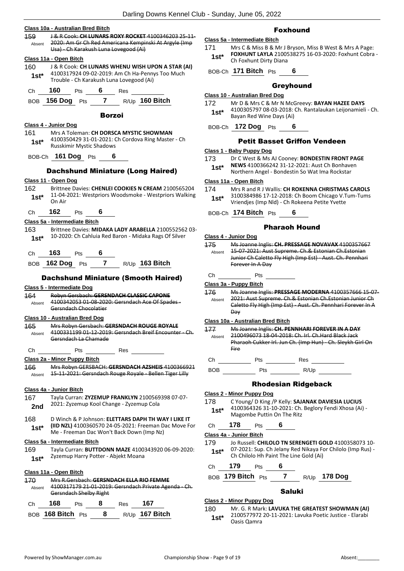|                | Class 10a - Australian Bred Bitch     |     |                 |                                          |                                                                                                                  |
|----------------|---------------------------------------|-----|-----------------|------------------------------------------|------------------------------------------------------------------------------------------------------------------|
| 159.           |                                       |     |                 |                                          | J & R Cook: CH LUNARS ROXY ROCKET 4100346203 25 11<br>2020: Am Gr Ch Red Americana Kempinski At Argyle (Imp      |
| Absent         |                                       |     |                 | Usa) - Ch Karakush Luna Lovegood (Ai)    |                                                                                                                  |
|                | Class 11a - Open Bitch                |     |                 |                                          |                                                                                                                  |
| 160            |                                       |     |                 |                                          | J & R Cook: CH LUNARS WHENU WISH UPON A STAR (AI)                                                                |
| $1st^*$        |                                       |     |                 |                                          | 4100317924 09-02-2019: Am Ch Ha-Pennys Too Much                                                                  |
|                |                                       |     |                 | Trouble - Ch Karakush Luna Lovegood (Ai) |                                                                                                                  |
|                |                                       |     |                 |                                          |                                                                                                                  |
|                |                                       |     |                 |                                          | BOB 156 Dog Pts 7 R/Up 160 Bitch                                                                                 |
|                |                                       |     | <b>Borzoi</b>   |                                          |                                                                                                                  |
|                | Class 4 - Junior Dog                  |     |                 |                                          |                                                                                                                  |
| 161<br>$1st^*$ | <b>Russkimir Mystic Shadows</b>       |     |                 |                                          | Mrs A Toleman: CH DORSCA MYSTIC SHOWMAN<br>4100350429 31-01-2021: Ch Cordova Ring Master - Ch                    |
|                | BOB-Ch 161 Dog Pts 6                  |     |                 |                                          |                                                                                                                  |
|                |                                       |     |                 |                                          |                                                                                                                  |
|                |                                       |     |                 |                                          | <b>Dachshund Miniature (Long Haired)</b>                                                                         |
|                | Class 11 - Open Dog                   |     |                 |                                          |                                                                                                                  |
|                |                                       |     |                 |                                          | 162 Brittnee Davies: CHENLEI COOKIES N CREAM 2100565204<br>11-04-2021: Westpriors Woodsmoke - Westpriors Walking |
| $1st^*$        | On Air                                |     |                 |                                          |                                                                                                                  |
| Ch             | $162$ Pts                             |     | $6\overline{6}$ |                                          |                                                                                                                  |
|                | Class 5a - Intermediate Bitch         |     |                 |                                          |                                                                                                                  |
| 163 -          |                                       |     |                 |                                          | Brittnee Davies: MIDAKA LADY ARABELLA 2100552562 03-                                                             |
|                |                                       |     |                 |                                          | 1st* 10-2020: Ch Cahluia Red Baron - Midaka Rags Of Silver                                                       |
|                | Ch <b>163</b> Pts 6                   |     |                 |                                          |                                                                                                                  |
|                |                                       |     |                 |                                          | BOB 162 Dog Pts 7 R/Up 163 Bitch                                                                                 |
|                |                                       |     |                 |                                          | <b>Dachshund Miniature (Smooth Haired)</b>                                                                       |
|                | Class 5 - Intermediate Dog            |     |                 |                                          |                                                                                                                  |
| 164            |                                       |     |                 |                                          | Robyn Gersbach: GERSNDACH CLASSIC CAPONE                                                                         |
|                | Gersndach Chocolatier                 |     |                 |                                          | Absent 4100342053 01-08-2020: Gersndach Ace Of Spades -                                                          |
|                | <b>Class 10 - Australian Bred Dog</b> |     |                 |                                          |                                                                                                                  |
|                |                                       |     |                 |                                          | 165 Mrs Robyn Gersbach: GERSNDACH ROUGE ROYALE                                                                   |
| Absent         |                                       |     |                 |                                          | 4100331199 01-12-2019: Gersndach Breif Encounter - Ch.                                                           |
|                | Gersndach La Chamade                  |     |                 |                                          |                                                                                                                  |
| Ch             |                                       | Pts |                 | Res                                      |                                                                                                                  |
|                | Class 2a - Minor Puppy Bitch          |     |                 |                                          |                                                                                                                  |
| 166<br>Absent  |                                       |     |                 |                                          | Mrs Robyn GERSBACH: GERSNDACH AZSHEIS 4100366921<br>15 11 2021: Gersndach Rouge Royale Bellen Tiger Lilly        |
|                |                                       |     |                 |                                          |                                                                                                                  |
|                | Class 4a - Junior Bitch               |     |                 |                                          |                                                                                                                  |
| 167            |                                       |     |                 |                                          | Tayla Curran: ZYZEMUP FRANKLYN 2100569398 07-07-                                                                 |
| 2nd            |                                       |     |                 | 2021: Zyzemup Kool Change - Zyzemup Cola |                                                                                                                  |
| 168            |                                       |     |                 |                                          | D Winch & P Johnson: ELETTARS DAPH TH WAY I LIKE IT                                                              |
| $1st^*$        |                                       |     |                 |                                          | (IID NZL) 4100360570 24-05-2021: Freeman Dac Move For<br>Me - Freeman Dac Won't Back Down (Imp Nz)               |
|                | Class 5a - Intermediate Bitch         |     |                 |                                          |                                                                                                                  |
| 169            |                                       |     |                 |                                          | Tayla Curran: BUTTDONN MAZE 4100343920 06-09-2020:                                                               |
| $1st*$         |                                       |     |                 | Zyzemup Harry Potter - Abjekt Moana      |                                                                                                                  |
|                |                                       |     |                 |                                          |                                                                                                                  |
|                | Class 11a - Open Bitch                |     |                 |                                          |                                                                                                                  |
| 170            |                                       |     |                 |                                          | Mrs R.Gersbach: GERSNDACH ELLA RIO FEMME<br>4100317179 21-01-2019: Gersndach Private Agenda - Ch.                |
| Absent         | Gersndach Shelby Right                |     |                 |                                          |                                                                                                                  |
| Ch             | 168                                   | Pts | 8               | Res                                      | 167                                                                                                              |

### Foxhound

### **Class 5a - Intermediate Bitch**

171 Mrs C & Miss B & Mr J Bryson, Miss B West & Mrs A Page: **FOXHUNT LAYLA** 2100538275 16-03-2020: Foxhunt Cobra - **1st\* COXHUNT LAYLA 2100:**<br>Ch Foxhunt Dirty Diana

BOB-Ch **171 Bitch** Pts **6**

### Greyhound

### **Class 10 - Australian Bred Dog**

172 Mr D & Mrs C & Mr N McGreevy: **BAYAN HAZEE DAYS** 4100305797 08-03-2018: Ch. Rantalaukan Leijonamieli - Ch. Bayan Red Wine Days (Ai) **1st\***

### BOB-Ch **172 Dog** Pts **6**

### Petit Basset Griffon Vendeen

### **Class 1 - Baby Puppy Dog**

- 173 Dr C West & Ms AJ Cooney: **BONDESTIN FRONT PAGE**
- **NEWS** 4100366242 31-12-2021: Aust Ch Bonhaven **1st\*** NEWS 4100366242 31-12-2021: Aust Ch Bonhave<br>Northern Angel - Bondestin So Wat Ima Rockstar

### **Class 11a - Open Bitch**

### 174 Mrs R and R J Wallis: **CH ROKENNA CHRISTMAS CAROLS**

3100384986 17-12-2018: Ch Boom Chicago V.Tum-Tums Vriendjes (Imp Nld) - Ch Rokeena Petite Yvette **1st\***

BOB-Ch **174 Bitch** Pts **6**

### Pharaoh Hound

### **Class 4 - Junior Dog**

| 175<br>Absent | Ms Joanne Inglis: CH. PRESSAGE NOVAVAX 4100357667<br>15 07 2021: Aust Supreme. Ch.& Estonian Ch. Estonian<br>Junior Ch Caletto Fly High (Imp Est) - Aust. Ch. Pennhari<br>Forever In A Day |
|---------------|--------------------------------------------------------------------------------------------------------------------------------------------------------------------------------------------|
|               |                                                                                                                                                                                            |

### **Class 3a - Puppy Bitch**

176 Ms Joanne Inglis: **PRESSAGE MODERNA** 4100357666 15-07- 2021: Aust Supreme. Ch.& Estonian Ch.Estonian Junior Ch Caletto Fly High (Imp Est) - Aust. Ch. Pennhari Forever In A Day Absent

### **Class 10a - Australian Bred Bitch**

| Absent | Ms Joanne Inglis: CH. PENNHARI FOREVER IN A DAY<br>2100496073 18-04-2018: Ch. Irl. Ch. Hard Black Jack<br>Pharaoh Cukker Irl. Jun Ch. (Imp Hun) - Ch. Sleykh Girl On<br>Fire |
|--------|------------------------------------------------------------------------------------------------------------------------------------------------------------------------------|
|        | Res<br>٦ts                                                                                                                                                                   |

BOB Pts R/Up

### Rhodesian Ridgeback

### **Class 2 - Minor Puppy Dog**

178 C Young/ D King /P Kelly: **SAJANAK DAVIESIA LUCIUS** 4100364326 31-10-2021: Ch. Beglory Fendi Xhosa (Ai) - **1st** <sup>4100364326 31-10-2021: Ch.<br>Magombe Puttin On The Ritz</sup>

### Ch **178** Pts **6**

### **Class 4a - Junior Bitch**

- 179 Jo Russell: **CHILOLO TN SERENGETI GOLD** 4100358073 10- 07-2021: Sup. Ch Jelany Red Nikaya For Chilolo (Imp Rus) - **1st**\* U/-2021: Sup. Ch Jelany Red Nikaya For Chilolo Hh Paint The Line Gold (Ai)
- Ch **179** Pts **6**
- BOB **179 Bitch** Pts **7** R/Up **178 Dog**

### Saluki

### **Class 2 - Minor Puppy Dog**

180 Mr. G. R Mark: **LAVUKA THE GREATEST SHOWMAN (AI)** 2100577972 20-11-2021: Lavuka Poetic Justice - Elarabi 1st<sup>\*</sup> <sup>2100577972</sup>

BOB **168 Bitch** Pts **8** R/Up **167 Bitch**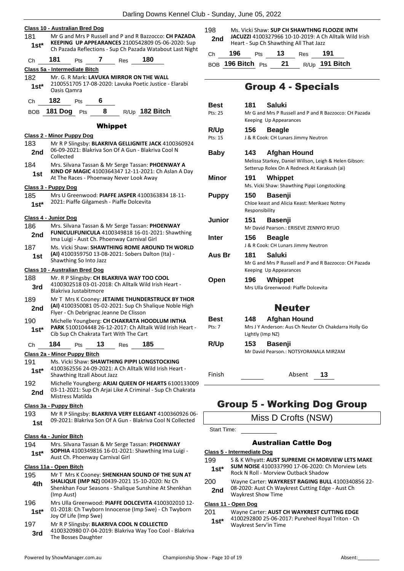Darling Downs Kennel Club - Sunday, June 05, 2022

|                                |            | Class 10 - Australian Bred Dog                                    |    |                |                                                                                                                                                                          | 198                               |                   |                       | Ms. Vicki Shaw: SUP CH S                           |
|--------------------------------|------------|-------------------------------------------------------------------|----|----------------|--------------------------------------------------------------------------------------------------------------------------------------------------------------------------|-----------------------------------|-------------------|-----------------------|----------------------------------------------------|
| 181<br>$1st*$                  |            |                                                                   |    |                | Mr G and Mrs P Russell and P and R Bazzocco: CH PAZADA<br>KEEPING UP APPEARANCES 2100542809 05-06-2020: Sup<br>Ch Pazada Reflections - Sup Ch Pazada Watabout Last Night | 2 <sub>nd</sub>                   |                   |                       | JACUZZI 4100327966 10-<br>Heart - Sup Ch Shawthing |
|                                | 181        |                                                                   | 7  |                | 180                                                                                                                                                                      | Сh                                | 196               | Pts                   | 13                                                 |
| Ch                             |            | Pts                                                               |    | Res            |                                                                                                                                                                          |                                   | BOB 196 Bitch Pts |                       | 21                                                 |
|                                |            | Class 5a - Intermediate Bitch                                     |    |                | Mr. G. R Mark: LAVUKA MIRROR ON THE WALL                                                                                                                                 |                                   |                   |                       |                                                    |
| 182<br>$1st*$                  |            | Oasis Qamra                                                       |    |                | 2100551705 17-08-2020: Lavuka Poetic Justice - Elarabi                                                                                                                   |                                   |                   |                       | Group 4 -                                          |
| Ch                             | 182        | Pts                                                               | 6  |                |                                                                                                                                                                          | Best                              |                   | 181                   | <b>Saluki</b>                                      |
| BOB                            |            | 181 Dog Pts                                                       | 8  |                | R/Up 182 Bitch                                                                                                                                                           | Pts: 25                           |                   |                       | Mr G and Mrs P Russe                               |
|                                |            |                                                                   |    |                |                                                                                                                                                                          |                                   |                   |                       | Keeping Up Appearar                                |
|                                |            |                                                                   |    | <b>Whippet</b> |                                                                                                                                                                          | R/Up                              |                   | 156                   | <b>Beagle</b>                                      |
| 183                            |            | <b>Class 2 - Minor Puppy Dog</b>                                  |    |                | Mr R P Slingsby: BLAKRIVA GELLIGNITE JACK 4100360924                                                                                                                     | Pts: 15                           |                   |                       | J & R Cook: CH Lunars                              |
| 2nd                            | Collected  |                                                                   |    |                | 06-09-2021: Blakriva Son Of A Gun - Blakriva Cool N                                                                                                                      | <b>Baby</b>                       |                   | 143                   | Afghan                                             |
| 184                            |            |                                                                   |    |                | Mrs. Silvana Tassan & Mr Serge Tassan: PHOENWAY A                                                                                                                        |                                   |                   |                       | Melissa Starkey, Danie<br>Setterup Rolex On A R    |
| 1st                            |            | At The Races - Phoenway Never Look Away                           |    |                | KIND OF MAGIC 4100364347 12-11-2021: Ch Aslan A Day                                                                                                                      | Minor                             |                   | 191                   | Whippet                                            |
| Class 3 - Puppy Dog            |            |                                                                   |    |                |                                                                                                                                                                          |                                   |                   |                       | Ms. Vicki Shaw: Shaw                               |
| 185<br>$1st*$                  |            | 2021: Piaffe Gilgamesh - Piaffe Dolcevita                         |    |                | Mrs U Greenwood: PIAFFE JASPER 4100363834 18-11-                                                                                                                         | <b>Puppy</b>                      |                   | 150<br>Responsibility | Basenji<br>Chloe keast and Alicia                  |
| Class 4 - Junior Dog           |            |                                                                   |    |                |                                                                                                                                                                          | Junior                            |                   | 151                   | <b>Basenji</b>                                     |
| 186                            |            |                                                                   |    |                | Mrs. Silvana Tassan & Mr Serge Tassan: PHOENWAY                                                                                                                          |                                   |                   |                       | Mr David Pearson.: EF                              |
| 2nd                            |            | Ima Luigi - Aust Ch. Phoenway Carnival Girl                       |    |                | FUNICULIFUNICULA 4100349818 16-01-2021: Shawthing                                                                                                                        | <b>Inter</b>                      |                   | 156                   | <b>Beagle</b><br>J & R Cook: CH Lunars             |
| 187<br>1st                     |            |                                                                   |    |                | Ms. Vicki Shaw: SHAWTHING ROME AROUND TH WORLD<br>(AI) 4100359750 13-08-2021: Sobers Dalton (Ita) -                                                                      | Aus Br                            |                   | 181                   | Saluki                                             |
|                                |            | Shawthing So Into Jazz                                            |    |                |                                                                                                                                                                          |                                   |                   |                       | Mr G and Mrs P Russe                               |
|                                |            | Class 10 - Australian Bred Dog                                    |    |                |                                                                                                                                                                          |                                   |                   |                       | Keeping Up Appearar                                |
| 188<br>3rd                     |            |                                                                   |    |                | Mr. R P Slingsby: CH BLAKRIVA WAY TOO COOL<br>4100302518 03-01-2018: Ch Alltalk Wild Irish Heart -                                                                       | Open                              |                   | 196                   | Whippet<br>Mrs Ulla Greenwood:                     |
|                                |            | Blakriva Justabitmore                                             |    |                |                                                                                                                                                                          |                                   |                   |                       |                                                    |
| 189<br>2nd                     |            | Flyer - Ch Debrignac Jeanne De Clisson                            |    |                | Mr T Mrs K Cooney: JETAIME THUNDERSTRUCK BY THOR<br>(AI) 4100350081 05-02-2021: Sup Ch Shalique Noble High                                                               |                                   |                   |                       | Neu                                                |
| 190                            |            |                                                                   |    |                | Michelle Youngberg: CH CHAKRATA HOODLUM INTHA                                                                                                                            | Best                              |                   | 148                   | Afghan                                             |
| 1st*                           |            | Cib Sup Ch Chakrata Tart With The Cart                            |    |                | PARK 5100104448 26-12-2017: Ch Alltalk Wild Irish Heart -                                                                                                                | Pts: 7                            |                   | Lightly (Imp NZ)      | Mrs J Y Anderson: Aus                              |
| Ch                             | 184        | <b>Pts</b>                                                        | 13 | Res            | 185                                                                                                                                                                      | R/Up                              |                   | 153                   | Basenji                                            |
|                                |            | Class 2a - Minor Puppy Bitch                                      |    |                |                                                                                                                                                                          |                                   |                   |                       | Mr David Pearson.: N                               |
| 191                            |            |                                                                   |    |                | Ms. Vicki Shaw: SHAWTHING PIPPI LONGSTOCKING                                                                                                                             |                                   |                   |                       |                                                    |
| $1st*$                         |            | Shawthing Itzall About Jazz                                       |    |                | 4100362556 24-09-2021: A Ch Alltalk Wild Irish Heart -                                                                                                                   | Finish                            |                   |                       | Α                                                  |
| 192                            |            |                                                                   |    |                | Michelle Youngberg: ARJAI QUEEN OF HEARTS 6100133009                                                                                                                     |                                   |                   |                       |                                                    |
| 2nd                            |            | Mistress Matilda                                                  |    |                | 03-11-2021: Sup Ch Arjai Like A Criminal - Sup Ch Chakrata                                                                                                               |                                   |                   |                       |                                                    |
| Class 3a - Puppy Bitch         |            |                                                                   |    |                |                                                                                                                                                                          |                                   |                   |                       | Group 5 - Work                                     |
| 193                            |            |                                                                   |    |                | Mr R P Slingsby: BLAKRIVA VERY ELEGANT 4100360926 06-                                                                                                                    |                                   |                   |                       |                                                    |
| 1st                            |            |                                                                   |    |                | 09-2021: Blakriva Son Of A Gun - Blakriva Cool N Collected                                                                                                               |                                   |                   |                       | Miss D Cro                                         |
|                                |            |                                                                   |    |                |                                                                                                                                                                          | <b>Start Time:</b>                |                   |                       |                                                    |
| Class 4a - Junior Bitch<br>194 |            |                                                                   |    |                | Mrs. Silvana Tassan & Mr Serge Tassan: PHOENWAY                                                                                                                          |                                   |                   |                       | <b>Australian</b>                                  |
| $1st^*$                        |            | Aust Ch. Phoenway Carnival Girl                                   |    |                | SOPHIA 4100349816 16-01-2021: Shawthing Ima Luigi -                                                                                                                      | Class 5 - Intermediate Dog<br>199 |                   |                       | S & K Whyatt: <b>AUST SUPI</b>                     |
| Class 11a - Open Bitch         |            |                                                                   |    |                |                                                                                                                                                                          | 1st*                              |                   |                       | <b>SUM NOISE 4100337990</b>                        |
| 195                            |            |                                                                   |    |                | Mr T Mrs K Cooney: SHENKHAN SOUND OF THE SUN AT                                                                                                                          |                                   |                   |                       | Rock N Roll - Morview Ou                           |
| 4th                            | (Imp Aust) |                                                                   |    |                | SHALIQUE (IMP NZ) 00439-2021 15-10-2020: Nz Ch<br>Shenkhan Four Seasons - Shalique Sunshine At Shenkhan                                                                  | 200<br>2nd                        |                   | Waykrest Show Time    | Wayne Carter: WAYKRES<br>08-2020: Aust Ch Waykre   |
| 196                            |            |                                                                   |    |                | Mrs Ulla Greenwood: PIAFFE DOLCEVITA 4100302010 12-                                                                                                                      | Class 11 - Open Dog               |                   |                       |                                                    |
| $1st^*$                        |            | Joy Of Life (Imp Swe)                                             |    |                | 01-2018: Ch Twyborn Innocense (Imp Swe) - Ch Twyborn                                                                                                                     | 201<br>$1st^*$                    |                   |                       | Wayne Carter: AUST CH \<br>4100292800 25-06-2017:  |
| 197<br>3rd                     |            | Mr R P Slingsby: BLAKRIVA COOL N COLLECTED<br>The Bosses Daughter |    |                | 4100320980 07-04-2019: Blakriva Way Too Cool - Blakriva                                                                                                                  |                                   |                   | Waykrest Serv'in Time |                                                    |

### Specials

| Best<br>Pts: 25       | 181<br>Saluki<br>Mr G and Mrs P Russell and P and R Bazzocco: CH Pazada<br>Keeping Up Appearances                             |
|-----------------------|-------------------------------------------------------------------------------------------------------------------------------|
| R/Up<br>Pts: 15       | 156<br><b>Beagle</b><br>J & R Cook: CH Lunars Jimmy Neutron                                                                   |
| <b>Baby</b>           | 143<br>Afghan Hound<br>Melissa Starkey, Daniel Willson, Leigh & Helen Gibson:<br>Setterup Rolex On A Redneck At Karakush (ai) |
| <b>Minor</b>          | Whippet<br>191<br>Ms. Vicki Shaw: Shawthing Pippi Longstocking                                                                |
| <b>Puppy</b>          | 150<br><b>Basenji</b><br>Chloe keast and Alicia Keast: Merikaez Notmy<br>Responsibility                                       |
| <b>Junior</b>         | 151<br><b>Basenji</b><br>Mr David Pearson.: ERISEVE ZENNYO RYUO                                                               |
| Inter                 | 156<br><b>Beagle</b><br>J & R Cook: CH Lunars Jimmy Neutron                                                                   |
| Aus Br                | 181<br>Saluki<br>Mr G and Mrs P Russell and P and R Bazzocco: CH Pazada<br>Keeping Up Appearances                             |
| Open                  | Whippet<br>196<br>Mrs Ulla Greenwood: Piaffe Dolcevita                                                                        |
|                       | <b>Neuter</b>                                                                                                                 |
| <b>Best</b><br>Pts: 7 | Afghan Hound<br>148<br>Mrs J Y Anderson: Aus Ch Neuter Ch Chakdarra Holly Go<br>Lightly (Imp NZ)                              |
| R/Up                  | 153<br><b>Basenji</b><br>Mr David Pearson.: NOTSYORANALA MIRZAM                                                               |

bsent **13** 

### **Cing Dog Group**

ofts (NSW)

### **Cattle Dog**

- **REME CH MORVIEW LETS MAKE**
- 17-06-2020: Ch Morview Lets Rock N Roll - Morview Outback Shadow **1st\***
- **T RAGING BULL** 4100340856 22-
- est Cutting Edge Aust Ch

**WAYKREST CUTTING EDGE** Pureheel Royal Triton - Ch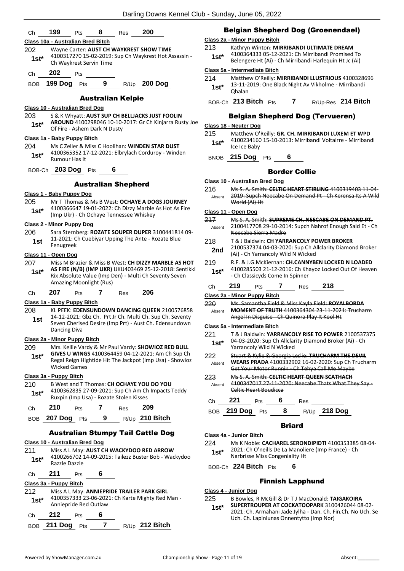| Ch             | 200<br>199<br>8<br>Pts<br>Res                                                                                                                                       |                | <b>Belgian Shepherd Dog (Groenendael)</b>                                                                                                                                                      |
|----------------|---------------------------------------------------------------------------------------------------------------------------------------------------------------------|----------------|------------------------------------------------------------------------------------------------------------------------------------------------------------------------------------------------|
| 202<br>$1st^*$ | Class 10a - Australian Bred Bitch<br>Wayne Carter: AUST CH WAYKREST SHOW TIME<br>4100317270 15-02-2019: Sup Ch Waykrest Hot Assassin -<br>Ch Waykrest Servin Time   | 213<br>$1st^*$ | Class 2a - Minor Puppy Bitch<br>Kathryn Winton: MIRRIBANDI ULTIMATE DREAM<br>4100364333 05-12-2021: Ch Mirribandi Promised To<br>Belengere Ht (Ai) - Ch Mirribandi Harlequin Ht Jc (Ai)        |
| Ch             | 202<br>Pts                                                                                                                                                          |                | Class 5a - Intermediate Bitch                                                                                                                                                                  |
| BOB            | 199 Dog $Pts$ 9<br>R/Up 200 Dog                                                                                                                                     | 214<br>$1st*$  | Matthew O'Reilly: MIRRIBANDI LLUSTRIOUS 4100328696<br>13-11-2019: One Black Night Av Vikholme - Mirribandi<br>Ohalan                                                                           |
|                | <b>Australian Kelpie</b>                                                                                                                                            |                | BOB-Ch 213 Bitch Pts 7 R/Up-Res 214 Bitch                                                                                                                                                      |
| 203            | Class 10 - Australian Bred Dog<br>S & K Whyatt: AUST SUP CH BELLJACKS JUST FOOLIN                                                                                   |                |                                                                                                                                                                                                |
| $1st^*$        | AROUND 4100298046 10-10-2017: Gr Ch Kinjarra Rusty Joe<br>Of Fire - Ashem Dark N Dusty                                                                              |                | <b>Belgian Shepherd Dog (Tervueren)</b><br>Class 18 - Neuter Dog                                                                                                                               |
|                | Class 1a - Baby Puppy Bitch                                                                                                                                         | 215            | Matthew O'Reilly: GR. CH. MIRRIBANDI LUXEM ET WPD<br>4100234160 15-10-2013: Mirribandi Voltairre - Mirribandi                                                                                  |
| 204            | Ms C Zeller & Miss C Hoolihan: WINDEN STAR DUST                                                                                                                     | $1st*$         | Ice Ice Baby                                                                                                                                                                                   |
| $1st*$         | 4100365352 17-12-2021: Elbrylach Corduroy - Winden<br>Rumour Has It                                                                                                 |                | BNOB 215 Dog Pts                                                                                                                                                                               |
|                | BOB-Ch 203 Dog Pts<br>6                                                                                                                                             |                | <b>Border Collie</b>                                                                                                                                                                           |
|                | <b>Australian Shepherd</b>                                                                                                                                          |                | <b>Class 10 - Australian Bred Dog</b>                                                                                                                                                          |
|                | Class 1 - Baby Puppy Dog                                                                                                                                            | 216            | Ms S. A. Smith: CELTIC HEART STIRLING 4100319403 11-04-<br>2019: Supch Neecabe On Demand Pt Ch Kerensa Its A Wild                                                                              |
| 205<br>$1st*$  | Mr T Thomas & Ms B West: OCHAYE A DOGS JOURNEY<br>4100366647 19-01-2022: Ch Dizzy Marble As Hot As Fire                                                             | Absent         | World (Ai) Ht                                                                                                                                                                                  |
|                | (Imp Ukr) - Ch Ochaye Tennessee Whiskey                                                                                                                             | 217            | Class 11 - Open Dog<br>Ms S. A. Smith: SUPREME CH. NEECABE ON DEMAND PT.                                                                                                                       |
|                | <b>Class 2 - Minor Puppy Dog</b>                                                                                                                                    | Absent         | 2100417708 29 10 2014: Supch Nahrof Enough Said Et Ch                                                                                                                                          |
| 206            | Sara Sternberg: ROZATE SOUPER DUPER 3100441814 09-<br>11-2021: Ch Cuebiyar Upping The Ante - Rozate Blue                                                            |                | Neecabe Sierra Madre                                                                                                                                                                           |
| 1st            | Fenugreek<br>Class 11 - Open Dog                                                                                                                                    | 218<br>2nd     | T & J Baldwin: CH YARRANCOLY POWER BROKER<br>2100537374 04-03-2020: Sup Ch Allclarity Diamond Broker<br>(Ai) - Ch Yarrancoly Wild N Wicked                                                     |
| 207            | Miss M Brazier & Miss B West: CH DIZZY MARBLE AS HOT                                                                                                                | 219            | R.F. & J.G.McKiernan: CH.CANNYBEN LOCKED N LOADED                                                                                                                                              |
| $1st*$         | AS FIRE (N/B) (IMP UKR) UKU403469 25-12-2018: Sentikki<br>Rix Absolute Value (Imp Den) - Multi Ch Seventy Seven<br>Amazing Moonlight (Rus)                          | $1st*$         | 4100285503 21-12-2016: Ch Khayoz Locked Out Of Heaven<br>- Ch Classicyds Come In Spinner                                                                                                       |
|                | 207<br>206                                                                                                                                                          | Ch             | 219<br>218<br>Pts<br>7<br>Res                                                                                                                                                                  |
| Ch             | 7<br><b>Pts</b><br><b>Res</b><br>Class 1a - Baby Puppy Bitch                                                                                                        |                | Class 2a - Minor Puppy Bitch                                                                                                                                                                   |
| 208<br>1st     | KL PEEK: EDENSUNDOWN DANCING QUEEN 2100576858<br>14-12-2021: Gbz Ch. Prt Jr Ch. Multi Ch. Sup Ch. Seventy<br>Seven Cherised Desire (Imp Prt) - Aust Ch. Edensundown | 220<br>Absent  | Ms. Samantha Field & Miss Kayla Field: ROYALBORDA<br><b>MOMENT OF TRUTH 4100364304 23-11-2021: Trucharm</b><br>Angel In Disguise - Ch Quinora Play It Kool Ht<br>Class 5a - Intermediate Bitch |
|                | Dancing Diva                                                                                                                                                        | 221            | T & J Baldwin: YARRANCOLY RISE TO POWER 2100537375                                                                                                                                             |
|                | Class 2a - Minor Puppy Bitch                                                                                                                                        | $1st*$         | 04-03-2020: Sup Ch Allclarity Diamond Broker (Ai) - Ch                                                                                                                                         |
| 209<br>$1st^*$ | Mrs. Kellie Vardy & Mr Paul Vardy: SHOWIOZ RED BULL<br>GIVES U WINGS 4100364459 04-12-2021: Am Ch Sup Ch                                                            | 222            | Yarrancoly Wild N Wicked<br>Stuart & Kylie & Georgia Leslie: TRUCHARM THE DEVIL                                                                                                                |
|                | Regal Reign Hightide Hit The Jackpot (Imp Usa) - Showioz<br><b>Wicked Games</b>                                                                                     | Absent         | WEARS PRADA 4100332902 16-02-2020: Sup Ch Trucharm<br>Get Your Motor Runnin - Ch Tehya Call Me Maybe                                                                                           |
|                | Class 3a - Puppy Bitch                                                                                                                                              | 223            | Ms S. A. Smith: CELTIC HEART QUEEN SCATHACH                                                                                                                                                    |
| 210<br>$1st*$  | B West and T Thomas: CH OCHAYE YOU DO YOU<br>4100362835 27-09-2021: Sup Ch Am Ch Impacts Teddy                                                                      | Absent         | 4100347017 27 11 2020: Neecabe Thats What They Say-<br>Celtic Heart Boudicca                                                                                                                   |
|                | Ruxpin (Imp Usa) - Rozate Stolen Kisses                                                                                                                             | Ch             | 221<br>6<br>Pts<br>Res                                                                                                                                                                         |
| Ch             | 210<br>7<br>209<br>Pts<br><b>Res</b>                                                                                                                                |                | 8<br>R/Up 218 Dog<br>BOB 219 Dog Pts                                                                                                                                                           |
| <b>BOB</b>     | R/Up 210 Bitch<br>207 Dog Pts<br>9                                                                                                                                  |                | <b>Briard</b>                                                                                                                                                                                  |
|                | <b>Australian Stumpy Tail Cattle Dog</b>                                                                                                                            |                | Class 4a - Junior Bitch                                                                                                                                                                        |
|                | Class 10 - Australian Bred Dog                                                                                                                                      | 224            | Ms K Noble: CACHAREL SERONDIPIDTI 4100353385 08-04-                                                                                                                                            |
| 211<br>$1st*$  | Miss A L May: AUST CH WACKYDOO RED ARROW<br>4100266702 14-09-2015: Tailezz Buster Bob - Wackydoo                                                                    | $1st*$         | 2021: Ch O'neills De La Manoliere (Imp France) - Ch<br>Narbrisse Miss Congeniality Ht                                                                                                          |
|                | Razzle Dazzle                                                                                                                                                       |                | BOB-Ch 224 Bitch Pts<br>6                                                                                                                                                                      |
| Ch             | 211<br>6<br>Pts                                                                                                                                                     |                | <b>Finnish Lapphund</b>                                                                                                                                                                        |
| 212            | Class 3a - Puppy Bitch<br>Miss A L May: ANNIEPRIDE TRAILER PARK GIRL                                                                                                |                | Class 4 - Junior Dog                                                                                                                                                                           |
| $1st*$         | 4100357333 23-06-2021: Ch Karte Mighty Red Man -<br>Anniepride Red Outlaw                                                                                           | 225            | B Bowles, R McGill & Dr T J MacDonald: TAIGAKOIRA<br>SUPERTROUPER AT COCKATOOPARK 3100426044 08-02-                                                                                            |
| Ch             | 212<br>6<br>Pts                                                                                                                                                     | $1st*$         | 2021: Ch. Armahani Jade Jylha - Dan. Ch. Fin.Ch. No Uch. Se                                                                                                                                    |
|                | BOB 211 Dog Pts<br>7<br>R/Up 212 Bitch                                                                                                                              |                | Uch. Ch. Lapinlunas Onnentytto (Imp Nor)                                                                                                                                                       |
|                |                                                                                                                                                                     |                |                                                                                                                                                                                                |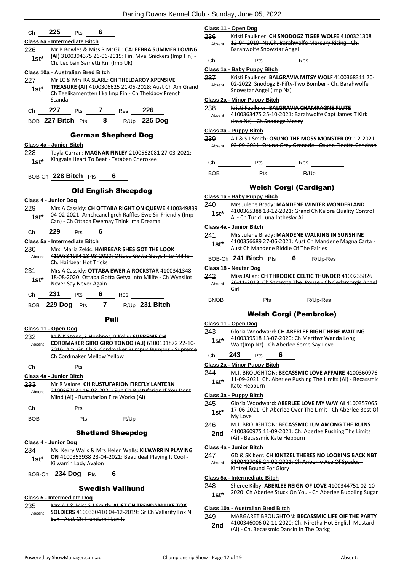**Class 11 - Open Dog**

| Сh | בח<br>225 | ⊃ts | Б |
|----|-----------|-----|---|
|    |           |     |   |

### **Class 5a - Intermediate Bitch**

226 Mr B Bowles & Miss R McGill: **CALEEBRA SUMMER LOVING (AI)** 3100394375 26-06-2019: Fin. Mva. Snickers (Imp Fin) - Ch. Lecibsin Sametti Rn. (Imp Uk) **1st\***

### **Class 10a - Australian Bred Bitch**

227 Mr LC & Mrs RA SEARE: **CH THELDAROY XPENSIVE TREASURE (AI)** 4100306625 21-05-2018: Aust Ch Am Grand Ch Teelikamentten Iika Imp Fin - Ch Theldaoy French Scandal **1st\***

Ch **227** Pts **7** Res **226**

BOB **227 Bitch** Pts **8** R/Up **225 Dog**

### German Shepherd Dog

### **Class 4a - Junior Bitch**

- 228 Tayla Curran: **MAGNAR FINLEY** 2100562081 27-03-2021: 1st\* Kingvale Heart To Beat - Tataben Cherokee
- BOB-Ch **228 Bitch** Pts **6**

### Old English Sheepdog

### **Class 4 - Junior Dog**

229 Mrs A Cassidy: **CH OTTABA RIGHT ON QUEWE** 4100349839 04-02-2021: Amchcanchgrch Raffles Ewe Sir Friendly (Imp **1st** U4-02-2021: Amchrancherch Karries Ewe Sir<br>Can) - Ch Ottaba Ewemay Think Ima Dreama

### Ch **229** Pts **6**

### **Class 5a - Intermediate Bitch**

- 230 Mrs. Maria Zekic: **HAIRBEAR SHES GOT THE LOOK** 4100334194 18-03-2020: Ottaba Gotta Getys Into Milife - Ch. Hairbear Hot Tricks Absent 231 Mrs A Cassidy: **OTTABA EWER A ROCKSTAR** 4100341348 18-08-2020: Ottaba Gotta Getya Into Milife - Ch Wynsilot
- 1st<sup>\*</sup> <sup>18-08-2020: Ottaba Go<br>Never Say Never Again</sup> Ch **231** Pts **6** Res

| $R/Up$ 231 Bitch<br>BOB 229 Dog Pts |  |
|-------------------------------------|--|
|-------------------------------------|--|

### Puli

**Class 11 - Open Dog** 232 M & K Stone, S Huebner, P Kelly: **SUPREME CH CORDMAKER GIRO GIRO TONDO (A.I)** 6100101872 22-10- 2016: Am Gr Ch Sl Cordmaker Rumpus Bumpus - Supreme Ch Cordmaker Mellow Yellow Absent

Ch Pts

**Class 4a - Junior Bitch**

233 Mr R Valore: **CH RUSTUFARION FIREFLY LANTERN** 2100567131 16-03-2021: Sup Ch Rustufarion If You Dont Mind (Ai) - Rustufarion Fire Works (Ai) Absent

Ch Pts BOB Pts R/Up

### Shetland Sheepdog

**Class 4 - Junior Dog** 234 Ms. Kerry Walls & Mrs Helen Walls: **KILWARRIN PLAYING ON** 4100353938 23-04-2021: Beauideal Playing It Cool - 1st\* UN 4100353938 23-04<br>Kilwarrin Lady Avalon

BOB-Ch **234 Dog** Pts **6**

### Swedish Vallhund

### **Class 5 - Intermediate Dog**

235 Mrs A J & Miss S J Smith: **AUST CH TRENDAM LIKE TOY SOLDIERS** 4100330410 04-12-2019: Gr Ch Vallarity Fox N Sox - Aust Ch Trendam I Luv It Absent

| Absent        | <b>Barahwolfe Snowstar Angel</b>                                                                                                               | 12-04-2019: Nz.Ch. Barahwolfe Mercury Rising - Ch.                                                         |  |  |  |
|---------------|------------------------------------------------------------------------------------------------------------------------------------------------|------------------------------------------------------------------------------------------------------------|--|--|--|
| Ch            | Pts                                                                                                                                            | <b>Res</b>                                                                                                 |  |  |  |
|               | Class 1a - Baby Puppy Bitch                                                                                                                    |                                                                                                            |  |  |  |
| 237           | Kristi Faulkner: BALGRAVIA MITSY WOLF 4100368311 20-<br>Absent 02-2022: Snodogz B-Fifty-Two Bomber - Ch. Barahwolfe<br>Snowstar Angel (Imp Nz) |                                                                                                            |  |  |  |
|               | Class 2a - Minor Puppy Bitch                                                                                                                   |                                                                                                            |  |  |  |
| 238<br>Absent | (Imp Nz) Ch Snodogz Mosey                                                                                                                      | Kristi Faulkner: BALGRAVIA CHAMPAGNE FLUTE<br>4100363475 25-10-2021: Barahwolfe Capt James T Kirk          |  |  |  |
|               | Class 3a - Puppy Bitch                                                                                                                         |                                                                                                            |  |  |  |
| 239<br>Absent |                                                                                                                                                | A L& S LSmith: OSUNO THE MOSS MONSTER 09112 2021<br>03-09-2021: Osuno Grey Grenade - Osuno Finette Cendron |  |  |  |
| Ch            | Pts                                                                                                                                            | Res                                                                                                        |  |  |  |
| <b>BOB</b>    | Pts                                                                                                                                            | R/Up                                                                                                       |  |  |  |
|               |                                                                                                                                                | <b>Welsh Corgi (Cardigan)</b>                                                                              |  |  |  |
|               | Class 1a - Baby Puppy Bitch                                                                                                                    |                                                                                                            |  |  |  |
| 240<br>1st*   | Ai - Ch Turid Luna Inthesky Ai                                                                                                                 | Mrs Julene Brady: MANDENE WINTER WONDERLAND<br>4100365388 18-12-2021: Grand Ch Kalora Quality Control      |  |  |  |
|               | Class 4a - Junior Bitch                                                                                                                        |                                                                                                            |  |  |  |
| 241<br>$1st*$ | Mrs Julene Brady: MANDENE WALKING IN SUNSHINE<br>4100356689 27-06-2021: Aust Ch Mandene Magna Carta -                                          |                                                                                                            |  |  |  |

236 Kristi Faulkner: **CH SNODOGZ TIGER WOLFE** 4100321308

- 4100356689 27-06-2021: Aust Ch Mandene Magna Carta Aust Ch Mandene Riddle Of The Fairies **1st\***
- BOB-Ch **241 Bitch** Pts **6** R/Up-Res

### **Class 18 - Neuter Dog**

- 242 Miss JAllan: **CH THRODICE CELTIC THUNDER** 4100235826 26-11-2013: Ch Sarasota The Rouse - Ch Cedarcorgis Angel Girl Absent
- BNOB Pts R/Up-Res

### Welsh Corgi (Pembroke)

### **Class 11 - Open Dog**

243 Gloria Woodward: **CH ABERLEE RIGHT HERE WAITING** 4100339518 13-07-2020: Ch Merthyr Wanda Long Wait(Imp Nz) - Ch Aberlee Some Say Love **1st\***

### Ch **243** Pts **6**

- **Class 2a - Minor Puppy Bitch**
- 244 M.J. BROUGHTON: **BECASSMIC LOVE AFFAIRE** 4100360976
- 11-09-2021: Ch. Aberlee Pushing The Limits (Ai) Becassmic **1st**\* 11-09-2021: C<br>Kate Hepburn

### **Class 3a - Puppy Bitch**

- 245 Gloria Woodward: **ABERLEE LOVE MY WAY AI** 4100357065 17-06-2021: Ch Aberlee Over The Limit - Ch Aberlee Best Of 1st<sup>\*</sup> <sup>17-Ub-2U</sup><br>My Love
- 246 M.J. BROUGHTON: **BECASSMIC LUV AMONG THE RUINS**
	- 4100360975 11-09-2021: Ch. Aberlee Pushing The Limits 2nd <sup>4100360975</sup> 11-09-2021: Cn. Apple 74100360975

### **Class 4a - Junior Bitch**

247 GD & SK Kerr: **CH KINTZEL THERES NO LOOKING BACK NBT** 3100427065 24-02-2021: Ch Anbenly Ace Of Spades - Kintzel Bound For Glory Absent

### **Class 5a - Intermediate Bitch**

- 248 Sheree Kilby: **ABERLEE REIGN OF LOVE** 4100344751 02-10-
- 1st\* 2020: Ch Aberlee Stuck On You Ch Aberlee Bubbling Sugar

### **Class 10a - Australian Bred Bitch**

249 MARGARET BROUGHTON: **BECASSMIC LIFE OIF THE PARTY** 4100346006 02-11-2020: Ch. Niretha Hot English Mustard 2nd 4100346006 02-11-2020: Ch. Niretha Ho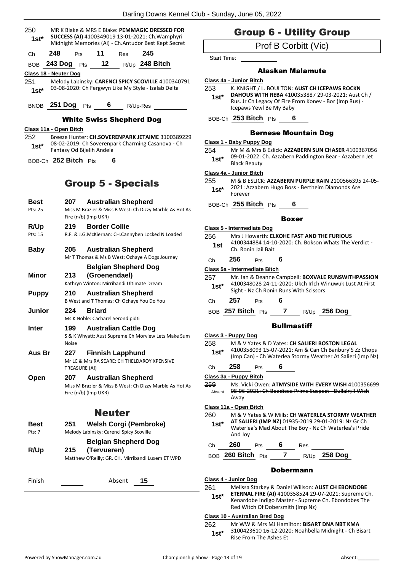| 250<br>1st*                   | MR K Blake & MRS E Blake: PEMMAGIC DRESSED FOR<br>SUCCESS (AI) 4100349019 13-01-2021: Ch. Wamphyri<br>Midnight Memories (Ai) - Ch.Antudor Best Kept Secret |
|-------------------------------|------------------------------------------------------------------------------------------------------------------------------------------------------------|
| 248<br>Сh                     | Pts 11 Res 245                                                                                                                                             |
|                               | BOB 243 Dog Pts 12 R/Up 248 Bitch                                                                                                                          |
| Class 18 - Neuter Dog         |                                                                                                                                                            |
| 251<br>$1st^*$                | Melody Labinsky: CARENCI SPICY SCOVILLE 4100340791<br>03-08-2020: Ch Fergwyn Like My Style - Izalab Delta                                                  |
|                               | BNOB 251 Dog Pts 6 R/Up-Res                                                                                                                                |
|                               | <b>White Swiss Shepherd Dog</b>                                                                                                                            |
| Class 11a - Open Bitch<br>252 | Breeze Hunter: CH.SOVERENPARK JETAIME 3100389229                                                                                                           |
| $1st^*$                       | 08-02-2019: Ch Soverenpark Charming Casanova - Ch<br>Fantasy Od Bijelih Andela                                                                             |
|                               | BOB-Ch 252 Bitch Pts<br>6                                                                                                                                  |
|                               | <b>Group 5 - Specials</b>                                                                                                                                  |
|                               |                                                                                                                                                            |
| Best                          | <b>Australian Shepherd</b><br>207                                                                                                                          |
| Pts: 25                       | Miss M Brazier & Miss B West: Ch Dizzy Marble As Hot As<br>Fire (n/b) (Imp UKR)                                                                            |
| R/Up                          | <b>Border Collie</b><br>219                                                                                                                                |
| Pts: 15                       | R.F. & J.G.McKiernan: CH.Cannyben Locked N Loaded                                                                                                          |
| <b>Baby</b>                   | <b>Australian Shepherd</b><br>205<br>Mr T Thomas & Ms B West: Ochaye A Dogs Journey                                                                        |
|                               | <b>Belgian Shepherd Dog</b>                                                                                                                                |
| <b>Minor</b>                  | (Groenendael)<br>213<br>Kathryn Winton: Mirribandi Ultimate Dream                                                                                          |
| <b>Puppy</b>                  | 210<br><b>Australian Shepherd</b><br>B West and T Thomas: Ch Ochaye You Do You                                                                             |
| <b>Junior</b>                 | 224<br><b>Briard</b><br>Ms K Noble: Cacharel Serondipidti                                                                                                  |
| Inter                         | <b>Australian Cattle Dog</b><br>199                                                                                                                        |
|                               | S & K Whyatt: Aust Supreme Ch Morview Lets Make Sum<br><b>Noise</b>                                                                                        |
| Aus Br                        | 227<br><b>Finnish Lapphund</b><br>Mr LC & Mrs RA SEARE: CH THELDAROY XPENSIVE                                                                              |
| Open                          | TREASURE (AI)<br><b>Australian Shepherd</b><br>207                                                                                                         |
|                               | Miss M Brazier & Miss B West: Ch Dizzy Marble As Hot As<br>Fire (n/b) (Imp UKR)                                                                            |
|                               | <b>Neuter</b>                                                                                                                                              |
| Best<br>Pts: 7                | <b>Welsh Corgi (Pembroke)</b><br>251<br>Melody Labinsky: Carenci Spicy Scoville                                                                            |
|                               | <b>Belgian Shepherd Dog</b>                                                                                                                                |
| R/Up                          | (Tervueren)<br>215<br>Matthew O'Reilly: GR. CH. Mirribandi Luxem ET WPD                                                                                    |
|                               |                                                                                                                                                            |
| Finish                        | Absent<br>15                                                                                                                                               |
|                               |                                                                                                                                                            |

## Group 6 - Utility Group

### Prof B Corbitt (Vic)

Start Time:

### Alaskan Malamute

| Class 4a - Junior Bitch |  |
|-------------------------|--|
|-------------------------|--|

253 K. KNIGHT / L. BOULTON: **AUST CH ICEPAWS ROCKN** 

#### **DAHOUS WITH REBA** 4100353887 29-03-2021: Aust Ch / Rus. Jr Ch Legacy Of Fire From Konev - Bor (Imp Rus) - Icepaws Yewl Be My Baby **1st\***

BOB-Ch **253 Bitch** Pts **6**

### Bernese Mountain Dog

### **Class 1 - Baby Puppy Dog**

254 Mr M & Mrs B Eslick: **AZZABERN SUN CHASER** 4100367056 09-01-2022: Ch. Azzabern Paddington Bear - Azzabern Jet 1st<sup>\*</sup> U<sup>9-01-2022:</sup><br>Black Beauty

### **Class 4a - Junior Bitch**

255 M & B ESLICK: **AZZABERN PURPLE RAIN** 2100566395 24-05- 2021: Azzabern Hugo Boss - Bertheim Diamonds Are 1st<sup>\*</sup> <sup>2021: A</sup><br>Forever

BOB-Ch **255 Bitch** Pts **6**

### Boxer

| Class 5 - Intermediate Dog |                                                                                                                            |  |  |  |  |
|----------------------------|----------------------------------------------------------------------------------------------------------------------------|--|--|--|--|
| 256<br>1st                 | Mrs J Howarth: ELKOHE FAST AND THE FURIOUS<br>4100344884 14-10-2020: Ch. Bokson Whats The Verdict -<br>Ch. Ronin Jail Bait |  |  |  |  |

### Ch **256** Pts **6**

**Class 5a - Intermediate Bitch**

| 257    | Mr. Ian & Deanne Campbell: BOXVALE RUNSWITHPASSION      |
|--------|---------------------------------------------------------|
| $1st*$ | 4100348028 24-11-2020: Ukch Irlch Winuwuk Lust At First |
|        | Sight - Nz Ch Ronin Runs With Scissors                  |

### Ch **257** Pts **6**

BOB **257 Bitch** Pts **7** R/Up **256 Dog**

### **Bullmastiff**

|        | Class 3 - Puppy Dog                                                                                                 |  |  |  |  |
|--------|---------------------------------------------------------------------------------------------------------------------|--|--|--|--|
| 258    | M & V Yates & D Yates: CH SALIERI BOSTON LEGAL                                                                      |  |  |  |  |
| $1st*$ | 4100358093 15-07-2021: Am & Can Ch Banbury'S Zz Chops<br>(Imp Can) - Ch Waterlea Stormy Weather At Salieri (Imp Nz) |  |  |  |  |
| Сh     | 258<br>6<br>Pts                                                                                                     |  |  |  |  |
|        | Class 3a - Puppy Bitch                                                                                              |  |  |  |  |
| 259    | <u>Ms. Vicki Owen: <b>ATMYSIDE WITH EVEDY WISH</b> 41003</u>                                                        |  |  |  |  |
| Absent | 08-06-2021: Ch Boadicea Prime Suspect - Bullalryll Wish                                                             |  |  |  |  |
|        | Awav                                                                                                                |  |  |  |  |
|        | Class 11a - Open Bitch                                                                                              |  |  |  |  |
| 260    | M & V Yates & W Mills: CH WATERLEA STORMY WEATHER                                                                   |  |  |  |  |
| $1st*$ | AT SALIERI (IMP NZ) 01935-2019 29-01-2019: Nz Gr Ch                                                                 |  |  |  |  |

#### Waterlea's Mad About The Boy - Nz Ch Waterlea's Pride And Joy **1st\***

Ch **260** Pts **6** Res

BOB **260 Bitch** Pts **7** R/Up **258 Dog**

### Dobermann

### **Class 4 - Junior Dog**

261 Melissa Starkey & Daniel Willson: **AUST CH EBONDOBE** 

**ETERNAL FIRE (AI)** 4100358524 29-07-2021: Supreme Ch. Kenardobe Indigo Master - Supreme Ch. Ebondobes The Red Witch Of Dobersmith (Imp Nz) **1st\***

### **Class 10 - Australian Bred Dog**

262 Mr WW & Mrs MJ Hamilton: **BISART DNA NBT KMA** 3100423610 16-12-2020: Noahbella Midnight - Ch Bisart Rise From The Ashes Et **1st\***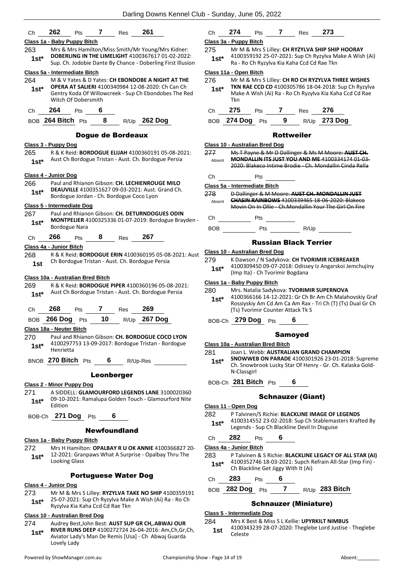| Ch             | 262                               | <b>Pts</b>          | 7          | Res                                      | 261                                                                                                               | Ch             | 274                                                                                                                                                                                                                                          | <b>Pts</b>                        | 7                                                                                                                                                                                                                              | Res                                                                                                                            | 273 |
|----------------|-----------------------------------|---------------------|------------|------------------------------------------|-------------------------------------------------------------------------------------------------------------------|----------------|----------------------------------------------------------------------------------------------------------------------------------------------------------------------------------------------------------------------------------------------|-----------------------------------|--------------------------------------------------------------------------------------------------------------------------------------------------------------------------------------------------------------------------------|--------------------------------------------------------------------------------------------------------------------------------|-----|
|                | Class 1a - Baby Puppy Bitch       |                     |            |                                          |                                                                                                                   |                | Class 3a - Puppy Bitch                                                                                                                                                                                                                       |                                   |                                                                                                                                                                                                                                |                                                                                                                                |     |
| 263<br>$1st^*$ |                                   |                     |            |                                          | Mrs & Mrs Hamilton/Miss Smith/Mr Young/Mrs Kidner:<br>DOBERLING IN THE LIMELIGHT 4100367617 01-02-2022:           | 275<br>$1st^*$ |                                                                                                                                                                                                                                              |                                   |                                                                                                                                                                                                                                | Mr M & Mrs S Lilley: CH RYZYLVA SHIP SH<br>4100359192 25-07-2021: Sup Ch Ryzylva                                               |     |
|                |                                   |                     |            |                                          | Sup. Ch. Jodobie Dante By Chance - Doberling First Illusion                                                       |                |                                                                                                                                                                                                                                              |                                   |                                                                                                                                                                                                                                | Ra - Ro Ch Ryzylva Kia Kaha Ccd Cd Rae Tk                                                                                      |     |
|                | Class 5a - Intermediate Bitch     |                     |            |                                          | M & V Yates & D Yates: CH EBONDOBE A NIGHT AT THE                                                                 | 276            | Class 11a - Open Bitch                                                                                                                                                                                                                       |                                   |                                                                                                                                                                                                                                |                                                                                                                                |     |
| 264<br>$1st*$  |                                   | Witch Of Dobersmith |            |                                          | OPERA AT SALIERI 4100340984 12-08-2020: Ch Can Ch<br>Gentry Koda Of Willowcreek - Sup Ch Ebondobes The Red        | $1st*$         | Tkn                                                                                                                                                                                                                                          |                                   |                                                                                                                                                                                                                                | Mr M & Mrs S Lilley: CH RO CH RYZYLVA<br>TKN RAE CCD CD 4100305786 18-04-2018<br>Make A Wish (Ai) Ra - Ro Ch Ryzylva Kia K     |     |
| Ch             | 264                               | Pts                 |            |                                          |                                                                                                                   | Ch             | 275                                                                                                                                                                                                                                          |                                   |                                                                                                                                                                                                                                | Pts 7 Res                                                                                                                      | 276 |
|                | BOB 264 Bitch Pts                 |                     | 8          |                                          | $R/Up$ 262 Dog                                                                                                    |                | BOB 274 Dog Pts                                                                                                                                                                                                                              |                                   | 9                                                                                                                                                                                                                              | R/Up 273                                                                                                                       |     |
|                |                                   |                     |            | <b>Dogue de Bordeaux</b>                 |                                                                                                                   |                |                                                                                                                                                                                                                                              |                                   |                                                                                                                                                                                                                                | <b>Rottweiler</b>                                                                                                              |     |
|                | Class 3 - Puppy Dog               |                     |            |                                          |                                                                                                                   |                | Class 10 - Australian Bred Dog                                                                                                                                                                                                               |                                   |                                                                                                                                                                                                                                |                                                                                                                                |     |
| 265<br>$1st^*$ |                                   |                     |            |                                          | R & K Reid: <b>BORDOGUE ELIJAH</b> 4100360191 05-08-2021:<br>Aust Ch Bordogue Tristan - Aust. Ch. Bordogue Persia | 277<br>Absent  |                                                                                                                                                                                                                                              |                                   |                                                                                                                                                                                                                                | Ms T Payne & Mr D Dallinger & Ms M Mo<br><b>MONDALLIN ITS JUST YOU AND ME 4100</b><br>2020: Blakeco Intime Brodie - Ch. Mondal |     |
|                | Class 4 - Junior Dog              |                     |            |                                          |                                                                                                                   | Ch             |                                                                                                                                                                                                                                              | Pts                               |                                                                                                                                                                                                                                |                                                                                                                                |     |
| 266            |                                   |                     |            |                                          | Paul and Rhianon Gibson: CH. LECHIENROUGE MILO                                                                    |                | Class 5a - Intermediate Bitch                                                                                                                                                                                                                |                                   |                                                                                                                                                                                                                                |                                                                                                                                |     |
| $1st*$         |                                   |                     |            | Bordogue Jordan - Ch. Bordogue Coco Lyon | DEAUVILLE 4100351627 09-03-2021: Aust. Grand Ch.                                                                  | 278            |                                                                                                                                                                                                                                              |                                   |                                                                                                                                                                                                                                | D Dallinger & M Moore: AUST CH. MOND                                                                                           |     |
|                | Class 5 - Intermediate Dog        |                     |            |                                          |                                                                                                                   | Absent         |                                                                                                                                                                                                                                              |                                   |                                                                                                                                                                                                                                | <b>CHASIN RAINBOWS 4100339465 18 06 2</b><br>Movin On In Ollie - Ch.Mondallin Your The                                         |     |
| 267            |                                   |                     |            |                                          | Paul and Rhianon Gibson: CH. DETURNDOGUES ODIN                                                                    |                |                                                                                                                                                                                                                                              |                                   |                                                                                                                                                                                                                                |                                                                                                                                |     |
| $1st*$         | <b>Bordogue Nara</b>              |                     |            |                                          | MONTPELIER 4100325336 01-07-2019: Bordogue Brayden -                                                              |                | Change of the control of the control of the control of the control of the control of the control of the control of the control of the control of the control of the control of the control of the control of the control of th<br><b>BOB</b> | Pts                               | Pts and the state of the state of the state of the state of the state of the state of the state of the state of the state of the state of the state of the state of the state of the state of the state of the state of the st | R/Up                                                                                                                           |     |
| Ch             | 266                               | Pts                 | 8 - 10     | Res                                      | 267                                                                                                               |                |                                                                                                                                                                                                                                              |                                   |                                                                                                                                                                                                                                | <b>Russian Black Terrier</b>                                                                                                   |     |
|                | Class 4a - Junior Bitch           |                     |            |                                          |                                                                                                                   |                | <b>Class 10 - Australian Bred Dog</b>                                                                                                                                                                                                        |                                   |                                                                                                                                                                                                                                |                                                                                                                                |     |
| 268<br>1st     |                                   |                     |            |                                          | R & K Reid: <b>BORDOGUE ERIN</b> 4100360195 05-08-2021: Aust<br>Ch Bordogue Tristan - Aust. Ch. Bordogue Persia   | 279            |                                                                                                                                                                                                                                              |                                   |                                                                                                                                                                                                                                | K Dawson / N Sadykova: CH TVORIMIR IC                                                                                          |     |
|                |                                   |                     |            |                                          |                                                                                                                   | $1st*$         |                                                                                                                                                                                                                                              | (Imp Ita) - Ch Tvorimir Bogdana   |                                                                                                                                                                                                                                | 4100309450 09-07-2018: Odissey Iz Anga                                                                                         |     |
|                | Class 10a - Australian Bred Bitch |                     |            |                                          |                                                                                                                   |                | Class 1a - Baby Puppy Bitch                                                                                                                                                                                                                  |                                   |                                                                                                                                                                                                                                |                                                                                                                                |     |
| 269<br>$1st^*$ |                                   |                     |            |                                          | R & K Reid: BORDOGUE PIPER 4100360196 05-08-2021:<br>Aust Ch Bordogue Tristan - Aust. Ch. Bordogue Persia         | 280<br>$1st^*$ |                                                                                                                                                                                                                                              |                                   |                                                                                                                                                                                                                                | Mrs. Natalia Sadykova: TVORIMIR SUPER<br>4100366166 14-12-2021: Gr Ch Br Am Ch<br>Rossiyskiy Am Cd Am Ca Am Rax - Tri Ch (     |     |
| Ch             | 268                               | Pts                 | 7          | <b>Res</b>                               | 269                                                                                                               |                |                                                                                                                                                                                                                                              | (Ts) Tvorimir Counter Attack Tk S |                                                                                                                                                                                                                                |                                                                                                                                |     |
|                | BOB 266 Dog Pts                   |                     |            |                                          | 10 $R/\bigcup_{p}$ 267 Dog                                                                                        |                | BOB-Ch 279 Dog Pts                                                                                                                                                                                                                           |                                   |                                                                                                                                                                                                                                | 6                                                                                                                              |     |
|                | Class 18a - Neuter Bitch          |                     |            |                                          |                                                                                                                   |                |                                                                                                                                                                                                                                              |                                   |                                                                                                                                                                                                                                | <b>Samoyed</b>                                                                                                                 |     |
| 270            |                                   |                     |            |                                          | Paul and Rhianon Gibson: CH. BORDOGUE COCO LYON<br>4100297753 13-09-2017: Bordogue Tristan - Bordogue             |                | Class 10a - Australian Bred Bitch                                                                                                                                                                                                            |                                   |                                                                                                                                                                                                                                |                                                                                                                                |     |
| $1st*$         | Henrietta                         |                     |            |                                          |                                                                                                                   | 281            |                                                                                                                                                                                                                                              |                                   |                                                                                                                                                                                                                                | Joan L. Webb: AUSTRALIAN GRAND CHAI                                                                                            |     |
|                |                                   |                     |            |                                          | BNOB 270 Bitch Pts 6 R/Up-Res                                                                                     | $1st^*$        |                                                                                                                                                                                                                                              |                                   |                                                                                                                                                                                                                                | <b>SNOWWEB ON PARADE 4100301926 23-</b><br>Ch. Snowbrook Lucky Star Of Henry - Gr. (                                           |     |
|                |                                   |                     | Leonberger |                                          |                                                                                                                   |                | N-Classgirl                                                                                                                                                                                                                                  |                                   |                                                                                                                                                                                                                                |                                                                                                                                |     |
|                | <b>Class 2 - Minor Puppy Dog</b>  |                     |            |                                          |                                                                                                                   |                | BOB-Ch 281 Bitch Pts 6                                                                                                                                                                                                                       |                                   |                                                                                                                                                                                                                                |                                                                                                                                |     |
| 271<br>$1st^*$ | Edition                           |                     |            |                                          | A SIDDELL: GLAMOURFORD LEGENDS LANE 3100020360<br>09-10-2021: Ramalupa Golden Touch - Glamourford Nite            |                |                                                                                                                                                                                                                                              |                                   |                                                                                                                                                                                                                                | <b>Schnauzer (Giant)</b>                                                                                                       |     |
|                |                                   |                     |            |                                          |                                                                                                                   | 282            | Class 11 - Open Dog                                                                                                                                                                                                                          |                                   |                                                                                                                                                                                                                                | P Talvinen/S Richie: BLACKLINE IMAGE O                                                                                         |     |
|                | BOB-Ch 271 Dog Pts 6              |                     |            | <b>Newfoundland</b>                      |                                                                                                                   | $1st^*$        |                                                                                                                                                                                                                                              |                                   |                                                                                                                                                                                                                                | 4100314552 23-02-2018: Sup Ch Stablem<br>Legends - Sup Ch Blackline Devil In Disgui:                                           |     |
|                | Class 1a - Baby Puppy Bitch       |                     |            |                                          |                                                                                                                   | Ch             | 282                                                                                                                                                                                                                                          | Pts                               | 6                                                                                                                                                                                                                              |                                                                                                                                |     |

- **RYZYLVA SHIP SHIP HOORAY** 1: Sup Ch Ryzylva Make A Wish (Ai) Ra - Ro Ch Ryzylva Kia Kaha Ccd Cd Rae Tkn **1st\***
- 276 Mr M & Mrs S Lilley: **CH RO CH RYZYLVA THREE WISHES**  05786 18-04-2018: Sup Ch Ryzylva Ch Ryzylva Kia Kaha Ccd Cd Rae

| Ch 275 Pts 7 Res 276  |  |                |
|-----------------------|--|----------------|
| BOB 274 Dog $Pts = 9$ |  | $R/Up$ 273 Dog |

### veiler

|        | Giass TV - Australian Breu Dou                          |
|--------|---------------------------------------------------------|
| 277    | Ms T Payne & Mr D Dallinger & Ms M Moore: AUST CH.      |
| Absent | <b>MONDALLIN ITS JUST YOU AND ME 4100334174 01-03-</b>  |
|        | 2020: Blakeco Intime Brodie - Ch. Mondallin Cinda Rella |

|        |                               | LVLV, DIMINUUD IIINIIIU DIVUIU – UIII IIIUIIUMIIIII UIIIUM INUI |
|--------|-------------------------------|-----------------------------------------------------------------|
| Сh     | Pts                           |                                                                 |
|        | Class 5a - Intermediate Bitch |                                                                 |
| 278    |                               | D Dallinger & M Moore: AUST CH. MONDALLIN JUST                  |
| Absent |                               | <b>CHASIN RAINBOWS 4100339465 18 06 2020: Blakeco</b>           |
|        |                               | Movin On In Ollie - Ch.Mondallin Your The Girl On Fire          |
| Сh     | Pts                           |                                                                 |
| BOB    | Pts                           | R/Up                                                            |

### ack Terrier

- 279 K Dawson / N Sadykova: **CH TVORIMIR ICEBREAKER** 3: Odissey Iz Angarskoi Jemchujiny<br>ogdana
	-
- 280 Mrs. Natalia Sadykova: **TVORIMIR SUPERNOVA** 1: Gr Ch Br Am Ch Malahovskiy Graf Am Rax - Tri Ch (T) (Ts) Dual Gr Ch ack Tk S
- 

### oyed

- **AN GRAND CHAMPION**
- **SNOWWEB ON PARADE** 4100301926 23-01-2018: Supreme ar Of Henry - Gr. Ch. Kalaska Gold-
- BOB-Ch **281 Bitch** Pts **6**

### er (Giant)

- **CKLINE IMAGE OF LEGENDS** 8: Sup Ch Stablemasters Krafted By **ne Devil In Disguise**
- **Class 4a - Junior Bitch**
- 283 P Talvinen & S Richie: **BLACKLINE LEGACY OF ALL STAR (AI)** 4100352746 18-03-2021: Supch Refrain All-Star (Imp Fin) - **1st**\* 4100352746 18-03-2021: Supch F<br>Ch Blackline Get Jiggy With It (Ai)
- Ch **283** Pts **6**
- BOB **282 Dog** Pts **7** R/Up **283 Bitch**

### Schnauzer (Miniature)

### **Class 5 - Intermediate Dog**

### 284 Mrs K Best & Miss S L Kellie: **UPYRKILT NIMBUS**

4100343239 28-07-2020: Theglebe Lord Justise - Theglebe 1st <sup>410034</sup><br>Celeste

### **Class 1a - Baby Puppy Bitch**

- 272 Mrs H Hamilton: **OPALBAY R U OK ANNIE** 4100366827 20- 12-2021: Granpaws What A Surprise - Opalbay Thru The **1st**\* 12-2021: Grand<br>Looking Glass
	- Portuguese Water Dog

### **Class 4 - Junior Dog**

273 Mr M & Mrs S Lilley: **RYZYLVA TAKE NO SHIP** 4100359191 25-07-2021: Sup Ch Ryzylva Make A Wish (Ai) Ra - Ro Ch Ryzylva Kia Kaha Ccd Cd Rae Tkn **1st\***

### **Class 10 - Australian Bred Dog**

- 274 Audrey Best,John Best: **AUST SUP GR CH,.ABWAJ OUR**
- **RIVER RUNS DEEP** 4100272724 26-04-2016: Am,Ch,Gr,Ch, Aviator Lady's Man De Remis [Usa] - Ch Abwaj Guarda **1st\***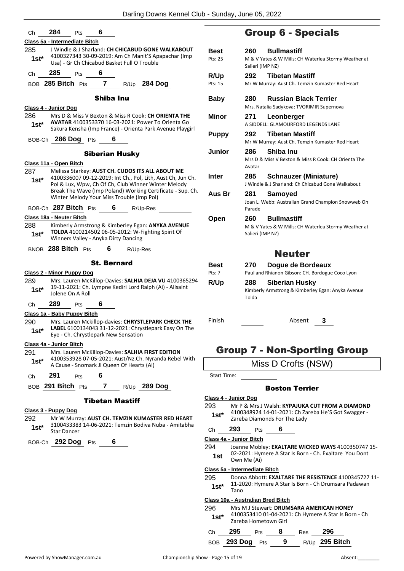| Сh             | 284<br>6<br><b>Pts</b>                                                                                                                                         |              |
|----------------|----------------------------------------------------------------------------------------------------------------------------------------------------------------|--------------|
|                | Class 5a - Intermediate Bitch                                                                                                                                  |              |
| 285            | J Windle & J Sharland: CH CHICABUD GONE WALKABOUT                                                                                                              | Bes          |
| 1st*           | 4100327343 30-09-2019: Am Ch Manit'S Apapachar (Imp<br>Usa) - Gr Ch Chicabud Basket Full O Trouble                                                             | Pts: 2       |
| Сh             | 285<br>Pts 6                                                                                                                                                   | R/U          |
|                | BOB 285 Bitch Pts 7 R/Up 284 Dog                                                                                                                               | Pts: 1       |
|                | <b>Shiba Inu</b>                                                                                                                                               | Bab          |
|                | Class 4 - Junior Dog                                                                                                                                           |              |
| 286.           | Mrs D & Miss V Bexton & Miss R Cook: CH ORIENTA THE<br><b>AVATAR 4100353370 16-03-2021: Power To Orienta Go</b>                                                | Min          |
| $1st^*$        | Sakura Kensha (Imp France) - Orienta Park Avenue Playgirl                                                                                                      |              |
|                | BOB-Ch 286 Dog Pts 6                                                                                                                                           | Pup          |
|                | <b>Siberian Husky</b>                                                                                                                                          | Jun          |
|                | Class 11a - Open Bitch                                                                                                                                         |              |
| 287<br>$1st^*$ | Melissa Starkey: AUST CH. CUDOS ITS ALL ABOUT ME<br>4100336007 09-12-2019: Int Ch., Pol, Lith, Aust Ch, Jun Ch.                                                | Inte         |
|                | Pol & Lux, Wpw, Ch Of Ch, Club Winner Winter Melody<br>Break The Wave (Imp Poland) Working Certificate - Sup. Ch.<br>Winter Melody Your Miss Trouble (Imp Pol) | Aus          |
|                | BOB-Ch 287 Bitch Pts 6 R/Up-Res                                                                                                                                |              |
|                | <b>Class 18a - Neuter Bitch</b>                                                                                                                                |              |
| 288            | Kimberly Armstrong & Kimberley Egan: ANYKA AVENUE                                                                                                              | Ope          |
| 1st*           | TOLDA 4100214502 06-05-2012: W-Fighting Spirit Of<br>Winners Valley - Anyka Dirty Dancing                                                                      |              |
|                | BNOB 288 Bitch Pts 6 R/Up-Res                                                                                                                                  |              |
|                | <b>St. Bernard</b>                                                                                                                                             | Bes          |
|                | <b>Class 2 - Minor Puppy Dog</b>                                                                                                                               | Pts: 7       |
| 289            | Mrs. Lauren McKillop-Davies: SALHIA DEJA VU 4100365294                                                                                                         | R/U          |
| 1st*           | 19-11-2021: Ch. Lympne Kediri Lord Ralph (Ai) - Allsaint<br>Jolene On A Roll                                                                                   |              |
| Сh             | 289<br>Pts 6                                                                                                                                                   |              |
|                | Class 1a - Baby Puppy Bitch                                                                                                                                    |              |
| 290            | Mrs. Lauren Mckillop-davies: CHRYSTLEPARK CHECK THE                                                                                                            | Finis        |
| 1st*           | <b>LABEL</b> 6100134043 31-12-2021: Chrystlepark Easy On The<br>Eye - Ch. Chrystlepark New Sensation                                                           |              |
|                | Class 4a - Junior Bitch                                                                                                                                        |              |
| 291            | Mrs. Lauren McKillop-Davies: SALHIA FIRST EDITION                                                                                                              |              |
| 1st*           | 4100353928 07-05-2021: Aust/Nz.Ch. Nyranda Rebel With<br>A Cause - Snomark Jl Queen Of Hearts (Ai)                                                             |              |
| Сh             | 291<br>6<br>Pts                                                                                                                                                | Star         |
|                | BOB 291 Bitch Pts 7<br>R/Up 289 Dog                                                                                                                            |              |
|                | <b>Tibetan Mastiff</b>                                                                                                                                         | <b>Class</b> |
|                | Class 3 - Puppy Dog                                                                                                                                            | 293          |
| 292            | Mr W Murray: AUST CH. TEMZIN KUMASTER RED HEART                                                                                                                | 1st          |

- 3100433383 14-06-2021: Temzin Bodiva Nuba Amitabha **1st**\* 3100433383<br>Star Dancer
- BOB-Ch **292 Dog** Pts **6**

# Group 6 - Specials

| <b>Best</b>  | <b>Bullmastiff</b><br>260                                     |  |  |  |  |
|--------------|---------------------------------------------------------------|--|--|--|--|
| Pts: 25      | M & V Yates & W Mills: CH Waterlea Stormy Weather at          |  |  |  |  |
|              | Salieri (IMP NZ)                                              |  |  |  |  |
| R/Up         | <b>Tibetan Mastiff</b><br>292                                 |  |  |  |  |
| Pts: 15      | Mr W Murray: Aust Ch. Temzin Kumaster Red Heart               |  |  |  |  |
|              |                                                               |  |  |  |  |
| <b>Baby</b>  | <b>Russian Black Terrier</b><br>280                           |  |  |  |  |
|              | Mrs. Natalia Sadykova: TVORIMIR Supernova                     |  |  |  |  |
| Minor        | 271<br>Leonberger                                             |  |  |  |  |
|              | A SIDDELL: GLAMOURFORD LEGENDS LANE                           |  |  |  |  |
|              | 292<br><b>Tibetan Mastiff</b>                                 |  |  |  |  |
| <b>Puppy</b> | Mr W Murray: Aust Ch. Temzin Kumaster Red Heart               |  |  |  |  |
|              |                                                               |  |  |  |  |
| Junior       | Shiba Inu<br>286                                              |  |  |  |  |
|              | Mrs D & Miss V Bexton & Miss R Cook: CH Orienta The<br>Avatar |  |  |  |  |
|              |                                                               |  |  |  |  |
| Inter        | 285<br><b>Schnauzer (Miniature)</b>                           |  |  |  |  |
|              | J Windle & J Sharland: Ch Chicabud Gone Walkabout             |  |  |  |  |
| Aus Br       | 281<br>Samoyed                                                |  |  |  |  |
|              | Joan L. Webb: Australian Grand Champion Snowweb On            |  |  |  |  |
|              | Parade                                                        |  |  |  |  |
| Open         | <b>Bullmastiff</b><br>260                                     |  |  |  |  |
|              | M & V Yates & W Mills: CH Waterlea Stormy Weather at          |  |  |  |  |
|              | Salieri (IMP NZ)                                              |  |  |  |  |
|              |                                                               |  |  |  |  |
|              | <b>Neuter</b>                                                 |  |  |  |  |
|              |                                                               |  |  |  |  |
| Best         | 270<br>Dogue de Bordeaux                                      |  |  |  |  |
| Pts: 7       | Paul and Rhianon Gibson: CH. Bordogue Coco Lyon               |  |  |  |  |
| R/Up         | <b>Siberian Husky</b><br>288                                  |  |  |  |  |
|              | Kimberly Armstrong & Kimberley Egan: Anyka Avenue             |  |  |  |  |
|              | Tolda                                                         |  |  |  |  |
|              |                                                               |  |  |  |  |
|              |                                                               |  |  |  |  |
| Finish       | Absent<br>3                                                   |  |  |  |  |

### Group 7 - Non-Sporting Group

Miss D Crofts (NSW)

t Time:

### Boston Terrier

### **Class 4 - Junior Dog**

- Mr P & Mrs J Walsh: **KYPAJUKA CUT FROM A DIAMOND**
- 4100348924 14-01-2021: Ch Zareba He'S Got Swagger **Zareba Diamonds For The Lady**

### Ch **293** Pts **6**

**Class 4a - Junior Bitch**

294 Joanne Mobley: **EXALTARE WICKED WAYS** 4100350747 15- 02-2021: Hymere A Star Is Born - Ch. Exaltare You Dont **1st** <sup>OZ-ZOZI: Hyr</sub></sup>

**Class 5a - Intermediate Bitch**

295 Donna Abbott: **EXALTARE THE RESISTENCE** 4100345727 11- 11-2020: Hymere A Star Is Born - Ch Drumsara Padawan  $1$ st<sup>\*</sup> $\frac{11-20}{1}$ 

### **Class 10a - Australian Bred Bitch**

296 Mrs M J Stewart: **DRUMSARA AMERICAN HONEY** 4100353410 01-04-2021: Ch Hymere A Star Is Born - Ch **1st**\* 4100353410 01-04-202<br>Zareba Hometown Girl

| Ch 295 Pts 8      |  | $Res$ 296 |                  |
|-------------------|--|-----------|------------------|
| BOB 293 Dog Pts 9 |  |           | $R/Up$ 295 Bitch |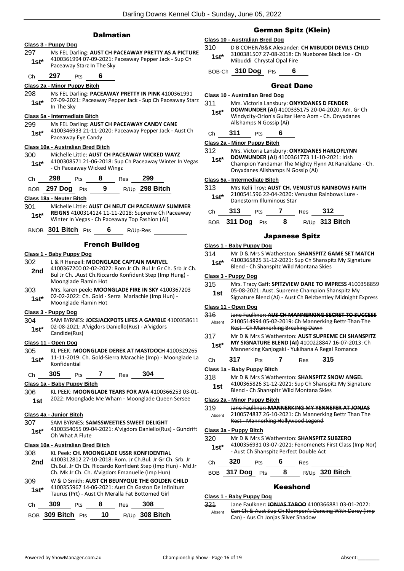|               | <b>Dalmatian</b>                                                                                                                                 |                | C<br>Class 10 - Australian             |
|---------------|--------------------------------------------------------------------------------------------------------------------------------------------------|----------------|----------------------------------------|
|               | Class 3 - Puppy Dog                                                                                                                              | 310            | <b>D B COHEN</b>                       |
| 297<br>$1st*$ | Ms FEL Darling: AUST CH PACEAWAY PRETTY AS A PICTURE<br>4100361994 07-09-2021: Paceaway Pepper Jack - Sup Ch<br>Paceaway Starz In The Sky        | $1st*$         | 310038150<br>Mibuddi C                 |
| Ch            | 297<br>6<br>Pts                                                                                                                                  | BOB-Ch         | 310 Do                                 |
|               | Class 2a - Minor Puppy Bitch                                                                                                                     |                |                                        |
| 298           | Ms FEL Darling: PACEAWAY PRETTY IN PINK 4100361991                                                                                               |                | Class 10 - Australian                  |
| $1st*$        | 07-09-2021: Paceaway Pepper Jack - Sup Ch Paceaway Starz<br>In The Sky                                                                           | 311<br>$1st^*$ | Mrs. Victor<br><b>DOWNUN</b>           |
|               | Class 5a - Intermediate Bitch                                                                                                                    |                | Windycity-                             |
| 299<br>$1st*$ | Ms FEL Darling: AUST CH PACEAWAY CANDY CANE<br>4100346933 21-11-2020: Paceaway Pepper Jack - Aust Ch                                             | Ch             | Allshamps<br>311<br>F                  |
|               | Paceaway Eye Candy                                                                                                                               |                | Class 2a - Minor Pup                   |
|               | <b>Class 10a - Australian Bred Bitch</b>                                                                                                         | 312            | Mrs. Victor                            |
| 300<br>$1st*$ | Michelle Little: AUST CH PACEAWAY WICKED WAYZ<br>4100308571 21-06-2018: Sup Ch Paceaway Winter In Vegas<br>- Ch Paceaway Wicked Wingz            | $1st*$         | <b>DOWNUN</b><br>Champion<br>Onyxdanes |
| Ch            | 298<br>8 Res<br>299<br>Pts                                                                                                                       |                | Class 5a - Intermedia                  |
| BOB           | R/Up 298 Bitch<br>Pts 9<br><b>297 Dog</b>                                                                                                        | 313            | Mrs Kelli T                            |
|               | Class 18a - Neuter Bitch                                                                                                                         | $1st^*$        | 210054159<br>Danestorm                 |
| 301           | Michelle Little: AUST CH NEUT CH PACEAWAY SUMMER                                                                                                 |                | 313<br>F                               |
| $1st^*$       | REIGNS 4100314124 11-11-2018: Supreme Ch Paceaway<br>Winter In Vegas - Ch Paceaway Top Fashion (Ai)                                              | Ch<br>BOB      | 311 Dog                                |
|               | BNOB 301 Bitch Pts<br>6<br>R/Up-Res                                                                                                              |                |                                        |
|               | <b>French Bulldog</b>                                                                                                                            |                | Class 1 - Baby Pupp                    |
|               | <u> Class 1 - Baby Puppy Dog</u>                                                                                                                 | 314            | Mr D & Mr                              |
| 302           | L & R Henzell: MOONGLADE CAPTAIN MARVEL                                                                                                          | 1st*           | 410036582<br>Blend - Ch                |
| 2nd           | 4100367200 02-02-2022: Rom Jr Ch. Bul Jr Gr Ch. Srb Jr Ch.<br>Bul Jr Ch. . Aust Ch. Riccardo Konfident Step (Imp Hung) -<br>Moonglade Flamin Hot |                | Class 3 - Puppy Dog                    |
| 303           | Mrs. karen peek: MOONGLADE FIRE IN SKY 4100367203                                                                                                | 315            | Mrs. Tracy<br>05-08-202                |
| $1st*$        | 02-02-2022: Ch. Gold - Serra Mariachie (Imp Hun) -<br>Moonglade Flamin Hot                                                                       | 1st            | Signature I                            |
|               | Class 3 - Puppy Dog                                                                                                                              | 316            | Class 11 - Open Dog<br>Jane Faulk      |
| 304<br>$1st*$ | SAM BYRNES: JOESJACKPOTS LIFES A GAMBLE 4100358611<br>02-08-2021: A'vigdors Daniello(Rus) - A'vigdors                                            | Absent         | 210051499<br>Rest - Ch N               |
|               | Candide(Rus)                                                                                                                                     | 317            | Mr D & Mr                              |
|               | Class 11 - Open Dog                                                                                                                              | $1st^*$        | <b>MY SIGNA</b>                        |
| 305<br>$1st*$ | KL PEEK: MOONGLADE DEREK AT MASTDOCH 4100329265<br>11-11-2019: Ch. Gold-Sierra Marachie (Imp) - Moonglade La                                     | Ch             | Mannerkin<br>317<br>-F                 |
|               | Konfidential                                                                                                                                     |                | Class 1a - Baby Pup                    |
| Ch            | 305<br>304<br>7<br><b>Pts</b><br>Res                                                                                                             | 318            | Mr D & Mr                              |
|               | Class 1a - Baby Puppy Bitch                                                                                                                      | 1st            | 410036582                              |
| 306           | KL PEEK: MOONGLADE TEARS FOR AVA 4100366253 03-01-<br>2022: Moonglade Me Wham - Moonglade Queen Sersee                                           |                | Blend - Ch                             |
| 1st           |                                                                                                                                                  | 319            | Class 2a - Minor Pup<br>Jane Faulk     |
|               | Class 4a - Junior Bitch                                                                                                                          | Absent         | 210057483                              |
| 307           | SAM BYRNES: SAMSSWEETIES SWEET DELIGHT                                                                                                           |                | Rest - Man                             |
| $1st^*$       | 4100354055 09-04-2021: A'vigdors Daniello(Rus) - Gundrift<br>Oh What A Flute                                                                     |                | Class 3a - Puppy Bit                   |
|               |                                                                                                                                                  | 320            | Mr D & Mr                              |
| 308           | Class 10a - Australian Bred Bitch<br>KL Peek: CH. MOONGLADE USSR KONFIDENTIAL                                                                    | 1st*           | 410035693<br>- Aust Ch S               |
| 2nd           | 4100312812 27-10-2018: Rom. Jr Ch.Bul. Jr Gr Ch. Srb. Jr<br>Ch.Bul. Jr Ch Ch. Riccardo Konfident Step (Imp Hun) - Md Jr                          | Ch             | 320<br>F                               |
|               | Ch. Mk Jr Ch. Ch. A'vigdors Emanuelle (Imp Hun)                                                                                                  |                | <b>BOB</b> 317 Dog                     |
| 309<br>1st*   | W & D Smith: AUST CH BEUNYQUE THE GOLDEN CHILD<br>4100355967 14-06-2021: Aust Ch Gaston De Infinitum                                             |                |                                        |
|               | Taurus (Prt) - Aust Ch Meralla Fat Bottomed Girl                                                                                                 |                | Class 1 - Baby Pupp                    |
| Ch            | 308<br>309<br>8<br>Pts<br>Res                                                                                                                    | 321            | Jane Faulk<br>Can Ch & A               |
|               | 10<br>R/Up 308 Bitch<br>BOB 309 Bitch Pts                                                                                                        | Absent         | $C2n$ $\mu$                            |

### German Spitz (Klein)

### **Class 10 - Australian Bred Dog**

 $N/B$ &K Alexander: CH MIBUDDI DEVILS CHILD 07 27-08-2018: Ch Nueboree Black Ice - Ch **Chrystal Opal Fire** 

BOB-Ch **310 Dog** Pts **6**

### Great Dane

**Class 10 - Australian Bred Dog**

| 311    | Mrs. Victoria Lansbury: ONYXDANES D FENDER        |
|--------|---------------------------------------------------|
| $1st*$ | DOWNUNDER (AI) 4100335175 20-04-2020: Am. Gr Ch   |
|        | Windycity-Orion's Guitar Hero Aom - Ch. Onyxdanes |
|        | Allshamps N Gossip (Ai)                           |

| Ch | 311 | Pts | 6 |
|----|-----|-----|---|
|    |     |     |   |

**Class 2a - Minor Puppy Bitch**

| 312     | Mrs. Victoria Lansbury: ONYXDANES HARLOFLYNN |
|---------|----------------------------------------------|
| $1$ ct* | DOWNUNDER (AI) 4100361773 11-10-2021: Irish  |

Yandamar The Mighty Flynn At Ranaldane - Ch. s Allshamps N Gossip (Ai)

### **Class 5a - Intermediate Bitch**

| 313 | Mrs Kelli Troy: AUST CH. VENUSTUS RAINBOWS FAITH |  |
|-----|--------------------------------------------------|--|
|-----|--------------------------------------------------|--|

96 22-04-2020: Venustus Rainbows Lure m Illuminous Star

| Ch 313                | <b>Pts</b> | Res | - 312            |
|-----------------------|------------|-----|------------------|
| BOB 311 Dog $Pts = 8$ |            |     | $R/Up$ 313 Bitch |

### Japanese Spitz

| Class 1 - Baby Puppy Dog |  |
|--------------------------|--|
|--------------------------|--|

rs S Watherston: **SHANSPITZ GAME SET MATCH** 

| viuvv v | <b>UPPY PVM</b>                                              |
|---------|--------------------------------------------------------------|
| 315     | Mrs. Tracy Gaff: SPITZVIEW DARE TO IMPRESS 4100358859        |
| 1st     | 05-08-2021: Aust. Supreme Champion Shanspitz My              |
|         | Signature Blend (Ai) - Aust Ch Belzbentley Midnight Express  |
|         | Class 11 - Open Dog                                          |
| 316     | <u> Jane Faulkner: ALIS CH MANNERKING SECRET TO SLICCESS</u> |
| Absent  | 2100514994 05 02 2019: Ch Mannerking Bettr Than The          |

| Absent | 2100514994 05 02 2019: Ch Mannerking Bettr Than The |
|--------|-----------------------------------------------------|
|        | Rest - Ch Mannerking Breaking Dawn                  |

rs S Watherston: **AUST SUPREME CH SHANSPITZ MY SIGNATURE BLEND (AI)** 4100228847 16-07-2013: Ch ng Kanjogaki - Yukihana A Regal Romance

| Ch 317 | $\overline{P}$ Pts | Res 315 |  |
|--------|--------------------|---------|--|
|        |                    |         |  |

**Class 1a - Baby Puppy Bitch**

### rs S Watherston: **SHANSPITZ SNOW ANGEL**

26 31-12-2021: Sup Ch Shanspitz My Signature Blend - Ch Shanspitz Wild Montana Skies **1st**

**Class 2a - Minor Puppy Bitch**

| 319    | Jane Faulkner: MANNERKING MY YENNEFER AT JONJAS     |
|--------|-----------------------------------------------------|
| Absent | 2100574837 26 10 2021: Ch Mannerking Bettr Than The |
|        | Rest - Mannerking Hollywood Legend                  |

### **Class 3a - Puppy Bitch**

| 320    | Mr D & Mrs S Watherston: SHANSPITZ SUBZERO                                                        |
|--------|---------------------------------------------------------------------------------------------------|
| $1st*$ | 4100356931 03-07-2021: Fenomenets First Class (Imp Nor)<br>- Aust Ch Shanspitz Perfect Double Act |

| Ch 320 Pts 6      |  | Res |                |
|-------------------|--|-----|----------------|
| BOB 317 Dog Pts 8 |  |     | R/Up 320 Bitch |

### Keeshond

### **Class 1 - Baby Puppy Dog**

| 321    | Jane Faulkner: JONJAS TABOO 4100366881 03 01 2022:     |
|--------|--------------------------------------------------------|
| Absent | Can Ch & Aust Sup Ch Klompen's Dancing With Darcy (Imp |
|        | Can) - Aus Ch Jonjas Silver Shadow                     |

<sup>25 31-12-2021:</sup> Sup Ch Shanspitz My Signature **Shanspitz Wild Montana Skies**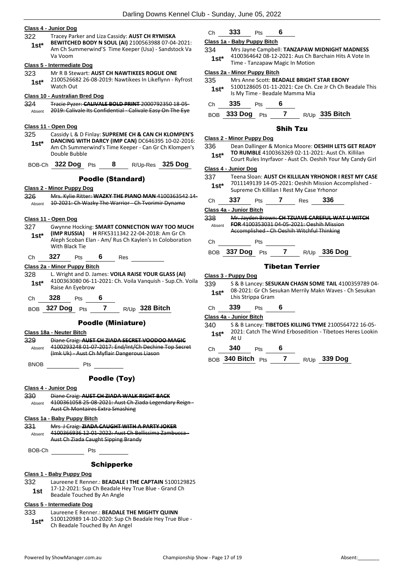### **Class 4 - Junior Dog**

322 Tracey Parker and Liza Cassidy: **AUST CH RYMISKA BEWITCHED BODY N SOUL (AI)** 2100563988 07-04-2021: Am Ch Summerwind'S Time Keeper (Usa) - Sandstock Va Va Voom **1st\***

### **Class 5 - Intermediate Dog**

323 Mr R B Stewart: **AUST CH NAWTIKEES ROGUE ONE** 2100526682 26-08-2019: Nawtikees In Likeflynn - Ryfrost 1st<sup>\*</sup> <sup>210052668</sup><br>Watch Out

### **Class 10 - Australian Bred Dog**

324 Tracie Pyzer: **CALIVALE BOLD PRINT** 2000792350 18-05-

Absent 2019: Calivale Its Confidential - Calivale Easy On The Eye

### **Class 11 - Open Dog**

325 Cassidy L & D Finlay: **SUPREME CH & CAN CH KLOMPEN'S DANCING WITH DARCY (IMP CAN)** DC646395 10-02-2016: Am Ch Summerwind's Time Keeper - Can Gr Ch Klompen's Double Bubble **1st\***

BOB-Ch **322 Dog** Pts **8** R/Up-Res **325 Dog**

### Poodle (Standard)

### **Class 2 - Minor Puppy Dog**

326 Mrs. Kylie Ritter: **WAZKY THE PIANO MAN** 4100363542 14- Absent 10-2021: Ch Wazky The Warrior - Ch Tvorimir Dynamo

### **Class 11 - Open Dog**

- 327 Gwynne Hocking: **SMART CONNECTION WAY TOO MUCH (IMP RUSSIA) H** RFK5311342 22-04-2018: Am Gr Ch Aleph Scoban Elan - Am/ Rus Ch Kaylen's In Coloboration With Black Tie **1st\***
- Ch **327** Pts **6** Res

### **Class 2a - Minor Puppy Bitch**

- 328 L. Wright and D. James: **VOILA RAISE YOUR GLASS (AI)** 4100363080 06-11-2021: Ch. Voila Vanquish - Sup.Ch. Voila 1st<sup>\*</sup> 4100363080 06-1
- Ch **328** Pts **6**

BOB **327 Dog** Pts **7** R/Up **328 Bitch**

### Poodle (Miniature)

**Class 18a - Neuter Bitch** 329 Diane Craig: **AUST CH ZIADA SECRET VOODOO MAGIC** 4100293248 01-07-2017: End/Int/Ch Dechine Top Secret (Imk Uk) - Aust Ch Myflair Dangerous Liason Absent BNOB Pts

### Poodle (Toy)

### **Class 4 - Junior Dog**

330 Diane Craig: **AUST CH ZIADA WALK RIGHT BACK** 4100361058 25-08-2021: Aust Ch Ziada Legendary Reign - Aust Ch Montaires Extra Smashing Absent

### **Class 1a - Baby Puppy Bitch**

331 Mrs J Craig: **ZIADA CAUGHT WITH A PARTY JOKER** 4100366936 12-01-2022: Aust Ch Bellissima Zambucca - Aust Ch Ziada Caught Sipping Brandy Absent

BOB-Ch Pts

### **Schipperke**

### **Class 1 - Baby Puppy Dog**

- 332 Laureene E Renner.: **BEADALE I THE CAPTAIN** 5100129825 17-12-2021: Sup Ch Beadale Hey True Blue - Grand Ch
	- **1st** I<sup>1</sup>-12-2021: Sup Cn Beadale H<br>Beadale Touched By An Angle

### **Class 5 - Intermediate Dog**

- 333 Laureene E Renner.: **BEADALE THE MIGHTY QUINN**
- 5100120989 14-10-2020: Sup Ch Beadale Hey True Blue 1st\* 5100120989 14-10-2020: Sup Ch<br>Ch Beadale Touched By An Angel

### Ch **333** Pts **6**

### **Class 1a - Baby Puppy Bitch**

334 Mrs Jayne Campbell: **TANZAPAW MIDNIGHT MADNESS** 4100364642 08-12-2021: Aus Ch Barchain Hits A Vote In 1st<sup>\*</sup> <sup>4100304042</sup> 08-12-2021: Aus Crite<br>Time - Tanzapaw Magic In Motion

### **Class 2a - Minor Puppy Bitch**

| 335 | Mrs Anne Scott: BEADALE BRIGHT STAR EBONY |
|-----|-------------------------------------------|
|-----|-------------------------------------------|

- 5100128605 01-11-2021: Cze Ch. Cze Jr Ch Ch Beadale This **1st**\* 5100128605 01-11-2021: Cze Ch. 0<br>Is My Time - Beadale Mamma Mia
- Ch **335** Pts **6**
- BOB **333 Dog** Pts **7** R/Up **335 Bitch**

### Shih Tzu

### **Class 2 - Minor Puppy Dog**

- 336 Dean Dallinger & Monica Moore: **OESHIH LETS GET READY TO RUMBLE** 4100363269 02-11-2021: Aust Ch. Killilan
- Court Rules Inyrfavor Aust Ch. Oeshih Your My Candy Girl **1st\***

### **Class 4 - Junior Dog**

- 337 Teena Sloan: **AUST CH KILLILAN YRHONOR I REST MY CASE** 7011149139 14-05-2021: Oeshih Mission Accomplished - Supreme Ch Killilan I Rest My Case Yrhonor **1st\***
- Ch **337** Pts **7** Res **336**

### **Class 4a - Junior Bitch**

- 338 Mr. Jayden Brown: **CH TZUAVE CAREFUL WAT U WITCH FOR** 4100353031 04-05-2021: Oeshih Mission Accomplished - Ch Oeshih Witchful Thinking Absent
- Ch Pts
- BOB **337 Dog** Pts **7** R/Up **336 Dog**

### Tibetan Terrier

### **Class 3 - Puppy Dog**

339 S & B Lancey: **SESUKAN CHASN SOME TAIL** 4100359789 04- 08-2021: Gr Ch Sesukan Merrily Makn Waves - Ch Sesukan 1st<sup>\*</sup> U<sup>8-2021</sup>: Gr Ch Se<br>Lhis Strippa Gram

### Ch **339** Pts **6**

**Class 4a - Junior Bitch**

- 340 S & B Lancey: **TIBETOES KILLING TYME** 2100564722 16-05- 2021: Catch The Wind Erbosedition - Tibetoes Heres Lookin **1st**<sup>\*</sup>  $\overline{A}$ t U
- Ch **340** Pts **6**
- BOB **340 Bitch** Pts **7** R/Up **339 Dog**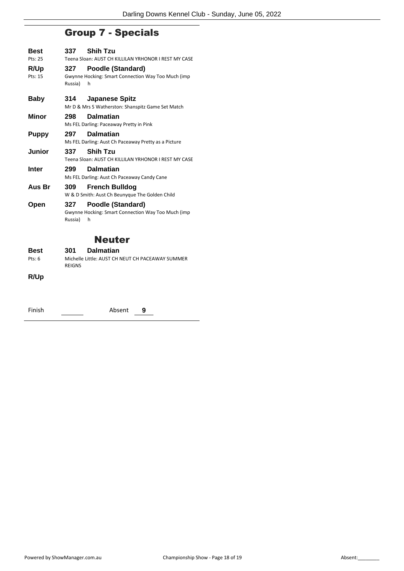# Group 7 - Specials

| Best            | 337                                                  | <b>Shih Tzu</b>                                                              |  |
|-----------------|------------------------------------------------------|------------------------------------------------------------------------------|--|
| Pts: 25         | Teena Sloan: AUST CH KILLILAN YRHONOR I REST MY CASE |                                                                              |  |
| R/Up<br>Pts: 15 | 327<br>Russia)                                       | Poodle (Standard)<br>Gwynne Hocking: Smart Connection Way Too Much (imp<br>h |  |
| <b>Baby</b>     | 314.                                                 | <b>Japanese Spitz</b><br>Mr D & Mrs S Watherston: Shanspitz Game Set Match   |  |
| Minor           | 298                                                  | <b>Dalmatian</b><br>Ms FEL Darling: Paceaway Pretty in Pink                  |  |
| Puppy           | 297                                                  | <b>Dalmatian</b><br>Ms FEL Darling: Aust Ch Paceaway Pretty as a Picture     |  |
| Junior          | 337                                                  | <b>Shih Tzu</b><br>Teena Sloan: AUST CH KILLILAN YRHONOR I REST MY CASE      |  |
| Inter           | 299                                                  | <b>Dalmatian</b><br>Ms FEL Darling: Aust Ch Paceaway Candy Cane              |  |
| Aus Br          | 309                                                  | <b>French Bulldog</b><br>W & D Smith: Aust Ch Beunyque The Golden Child      |  |
| Open            | 327<br>Russia)                                       | Poodle (Standard)<br>Gwynne Hocking: Smart Connection Way Too Much (imp<br>h |  |
| <b>Neuter</b>   |                                                      |                                                                              |  |
| Best            | 301                                                  | Dalmatian                                                                    |  |

Pts: 6 Michelle Little: AUST CH NEUT CH PACEAWAY SUMMER REIGNS

### **R/Up**

| Finish | Absent | 9 |
|--------|--------|---|
|        |        |   |